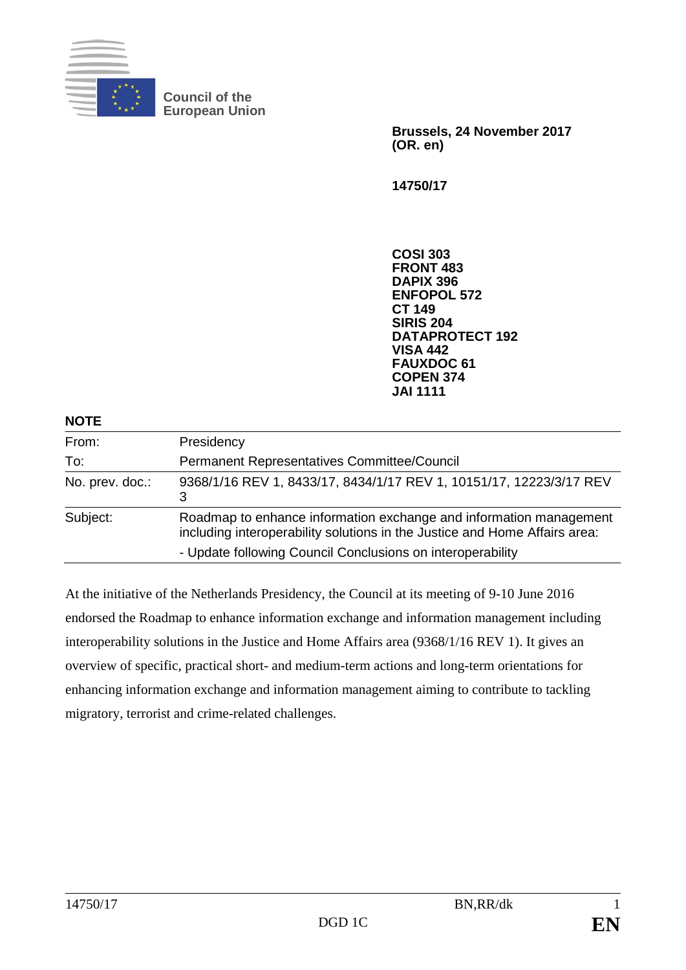

**Council of the European Union** 

> **Brussels, 24 November 2017 (OR. en)**

**14750/17** 

**COSI 303 FRONT 483 DAPIX 396 ENFOPOL 572 CT 149 SIRIS 204 DATAPROTECT 192 VISA 442 FAUXDOC 61 COPEN 374 JAI 1111**

#### **NOTE**

| From:           | Presidency                                                                                                                                                                                                     |
|-----------------|----------------------------------------------------------------------------------------------------------------------------------------------------------------------------------------------------------------|
| To:             | <b>Permanent Representatives Committee/Council</b>                                                                                                                                                             |
| No. prev. doc.: | 9368/1/16 REV 1, 8433/17, 8434/1/17 REV 1, 10151/17, 12223/3/17 REV                                                                                                                                            |
| Subject:        | Roadmap to enhance information exchange and information management<br>including interoperability solutions in the Justice and Home Affairs area:<br>- Update following Council Conclusions on interoperability |

At the initiative of the Netherlands Presidency, the Council at its meeting of 9-10 June 2016 endorsed the Roadmap to enhance information exchange and information management including interoperability solutions in the Justice and Home Affairs area (9368/1/16 REV 1). It gives an overview of specific, practical short- and medium-term actions and long-term orientations for enhancing information exchange and information management aiming to contribute to tackling migratory, terrorist and crime-related challenges.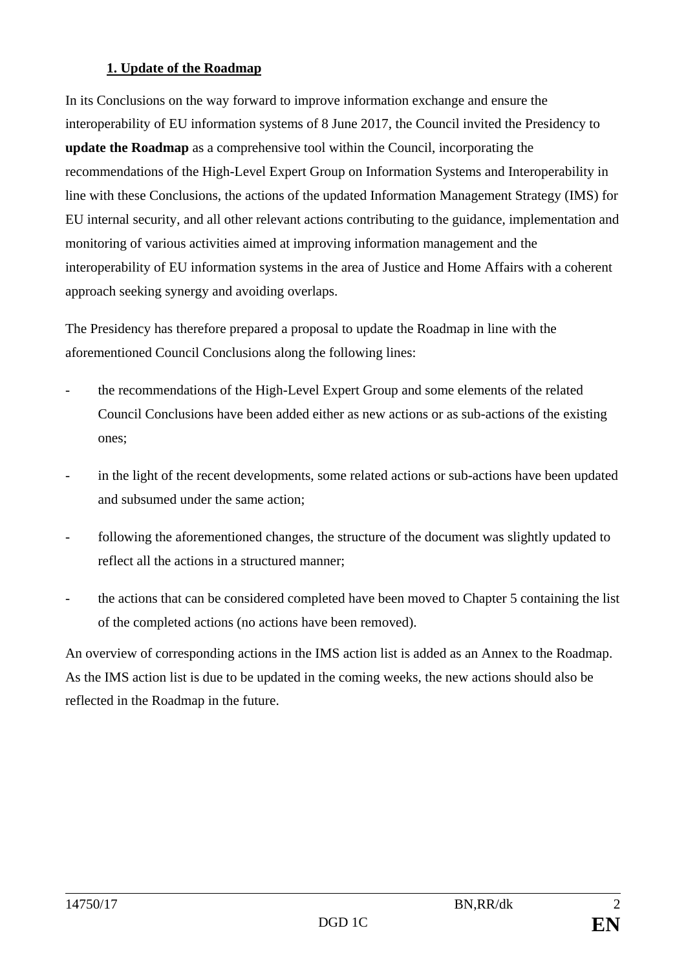#### **1. Update of the Roadmap**

In its Conclusions on the way forward to improve information exchange and ensure the interoperability of EU information systems of 8 June 2017, the Council invited the Presidency to **update the Roadmap** as a comprehensive tool within the Council, incorporating the recommendations of the High-Level Expert Group on Information Systems and Interoperability in line with these Conclusions, the actions of the updated Information Management Strategy (IMS) for EU internal security, and all other relevant actions contributing to the guidance, implementation and monitoring of various activities aimed at improving information management and the interoperability of EU information systems in the area of Justice and Home Affairs with a coherent approach seeking synergy and avoiding overlaps.

The Presidency has therefore prepared a proposal to update the Roadmap in line with the aforementioned Council Conclusions along the following lines:

- the recommendations of the High-Level Expert Group and some elements of the related Council Conclusions have been added either as new actions or as sub-actions of the existing ones;
- in the light of the recent developments, some related actions or sub-actions have been updated and subsumed under the same action;
- following the aforementioned changes, the structure of the document was slightly updated to reflect all the actions in a structured manner;
- the actions that can be considered completed have been moved to Chapter 5 containing the list of the completed actions (no actions have been removed).

An overview of corresponding actions in the IMS action list is added as an Annex to the Roadmap. As the IMS action list is due to be updated in the coming weeks, the new actions should also be reflected in the Roadmap in the future.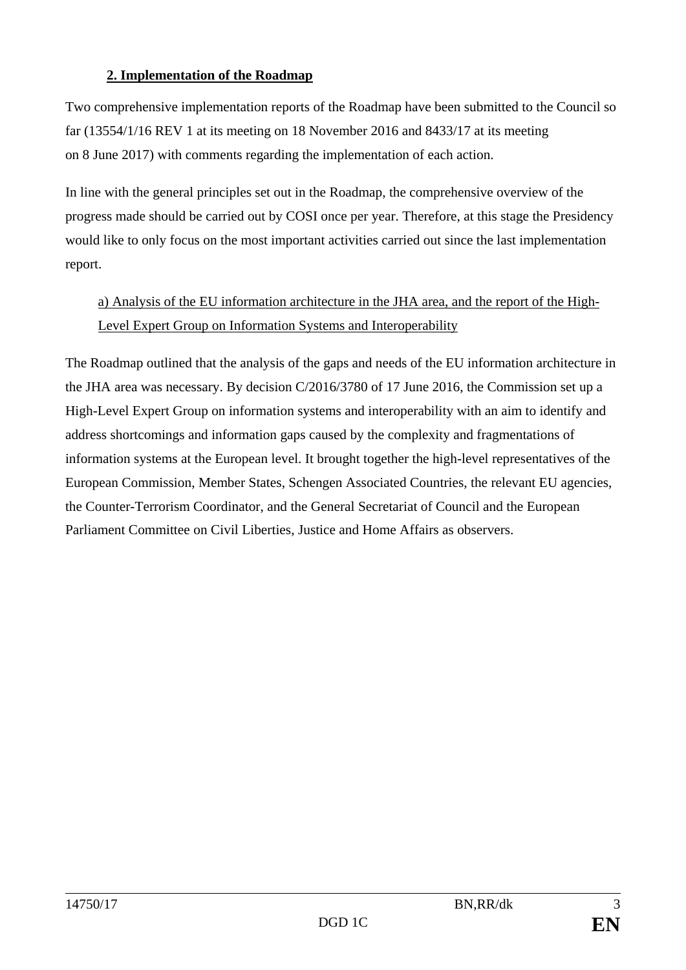#### **2. Implementation of the Roadmap**

Two comprehensive implementation reports of the Roadmap have been submitted to the Council so far (13554/1/16 REV 1 at its meeting on 18 November 2016 and 8433/17 at its meeting on 8 June 2017) with comments regarding the implementation of each action.

In line with the general principles set out in the Roadmap, the comprehensive overview of the progress made should be carried out by COSI once per year. Therefore, at this stage the Presidency would like to only focus on the most important activities carried out since the last implementation report.

### a) Analysis of the EU information architecture in the JHA area, and the report of the High-Level Expert Group on Information Systems and Interoperability

The Roadmap outlined that the analysis of the gaps and needs of the EU information architecture in the JHA area was necessary. By decision C/2016/3780 of 17 June 2016, the Commission set up a High-Level Expert Group on information systems and interoperability with an aim to identify and address shortcomings and information gaps caused by the complexity and fragmentations of information systems at the European level. It brought together the high-level representatives of the European Commission, Member States, Schengen Associated Countries, the relevant EU agencies, the Counter-Terrorism Coordinator, and the General Secretariat of Council and the European Parliament Committee on Civil Liberties, Justice and Home Affairs as observers.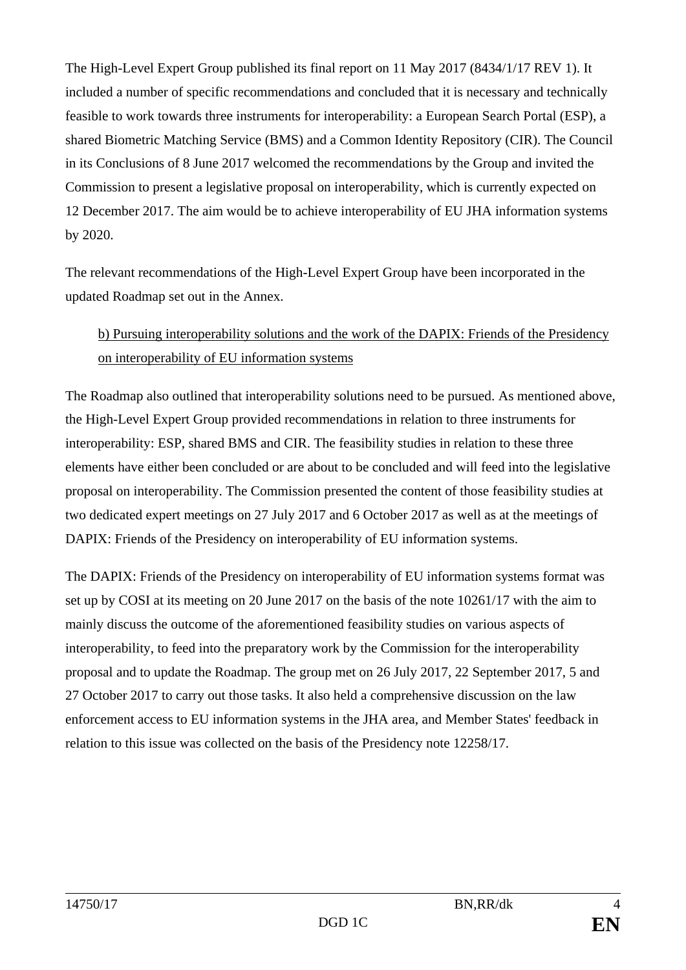The High-Level Expert Group published its final report on 11 May 2017 (8434/1/17 REV 1). It included a number of specific recommendations and concluded that it is necessary and technically feasible to work towards three instruments for interoperability: a European Search Portal (ESP), a shared Biometric Matching Service (BMS) and a Common Identity Repository (CIR). The Council in its Conclusions of 8 June 2017 welcomed the recommendations by the Group and invited the Commission to present a legislative proposal on interoperability, which is currently expected on 12 December 2017. The aim would be to achieve interoperability of EU JHA information systems by 2020.

The relevant recommendations of the High-Level Expert Group have been incorporated in the updated Roadmap set out in the Annex.

### b) Pursuing interoperability solutions and the work of the DAPIX: Friends of the Presidency on interoperability of EU information systems

The Roadmap also outlined that interoperability solutions need to be pursued. As mentioned above, the High-Level Expert Group provided recommendations in relation to three instruments for interoperability: ESP, shared BMS and CIR. The feasibility studies in relation to these three elements have either been concluded or are about to be concluded and will feed into the legislative proposal on interoperability. The Commission presented the content of those feasibility studies at two dedicated expert meetings on 27 July 2017 and 6 October 2017 as well as at the meetings of DAPIX: Friends of the Presidency on interoperability of EU information systems.

The DAPIX: Friends of the Presidency on interoperability of EU information systems format was set up by COSI at its meeting on 20 June 2017 on the basis of the note 10261/17 with the aim to mainly discuss the outcome of the aforementioned feasibility studies on various aspects of interoperability, to feed into the preparatory work by the Commission for the interoperability proposal and to update the Roadmap. The group met on 26 July 2017, 22 September 2017, 5 and 27 October 2017 to carry out those tasks. It also held a comprehensive discussion on the law enforcement access to EU information systems in the JHA area, and Member States' feedback in relation to this issue was collected on the basis of the Presidency note 12258/17.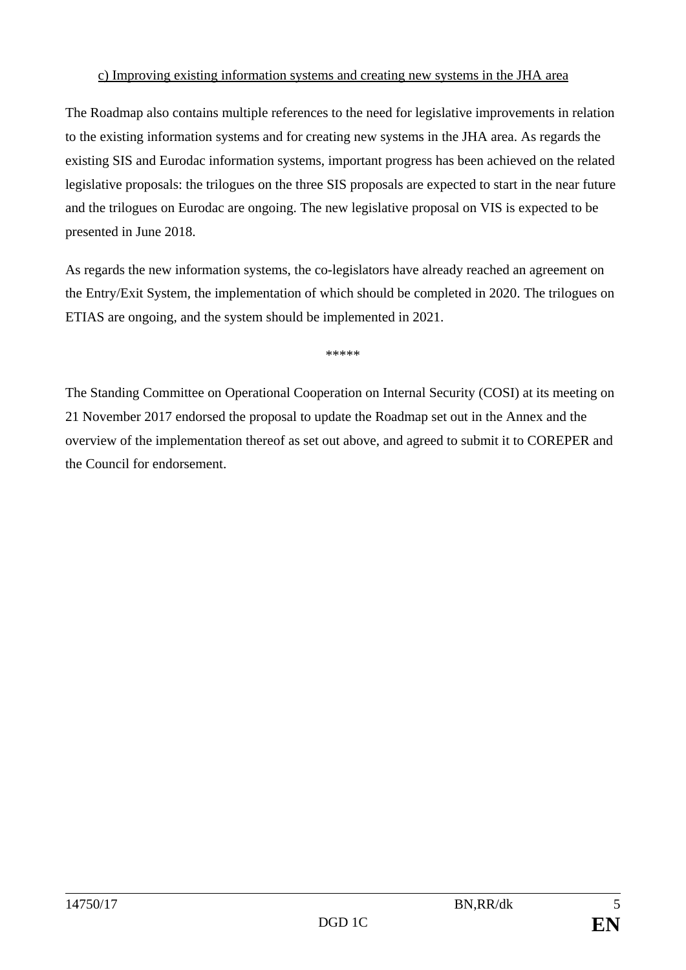#### c) Improving existing information systems and creating new systems in the JHA area

The Roadmap also contains multiple references to the need for legislative improvements in relation to the existing information systems and for creating new systems in the JHA area. As regards the existing SIS and Eurodac information systems, important progress has been achieved on the related legislative proposals: the trilogues on the three SIS proposals are expected to start in the near future and the trilogues on Eurodac are ongoing. The new legislative proposal on VIS is expected to be presented in June 2018.

As regards the new information systems, the co-legislators have already reached an agreement on the Entry/Exit System, the implementation of which should be completed in 2020. The trilogues on ETIAS are ongoing, and the system should be implemented in 2021.

\*\*\*\*\*

The Standing Committee on Operational Cooperation on Internal Security (COSI) at its meeting on 21 November 2017 endorsed the proposal to update the Roadmap set out in the Annex and the overview of the implementation thereof as set out above, and agreed to submit it to COREPER and the Council for endorsement.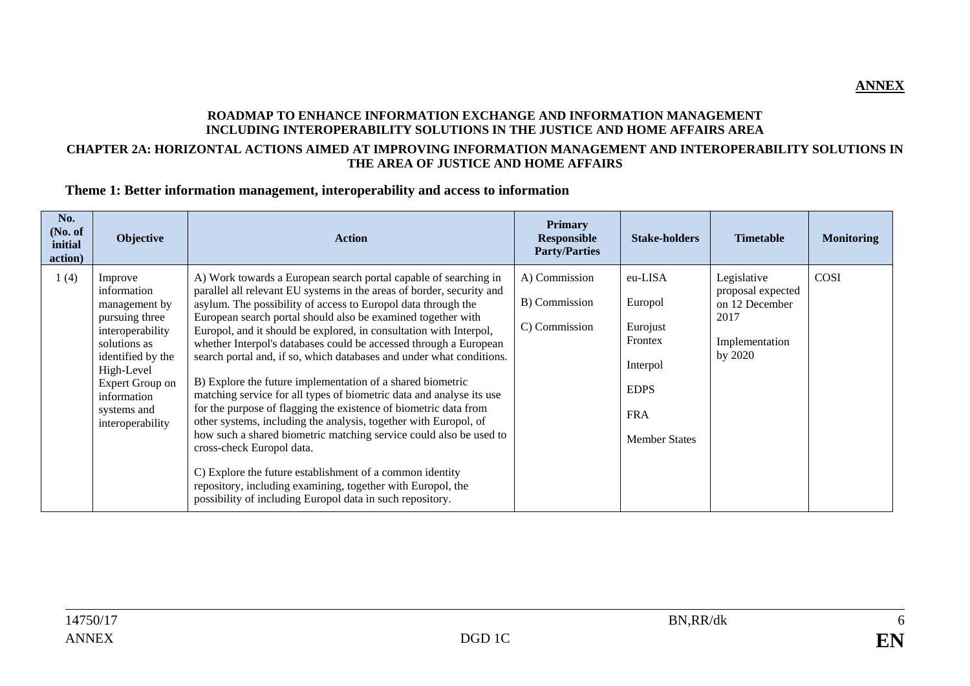#### **ROADMAP TO ENHANCE INFORMATION EXCHANGE AND INFORMATION MANAGEMENT INCLUDING INTEROPERABILITY SOLUTIONS IN THE JUSTICE AND HOME AFFAIRS AREA**

#### **CHAPTER 2A: HORIZONTAL ACTIONS AIMED AT IMPROVING INFORMATION MANAGEMENT AND INTEROPERABILITY SOLUTIONS IN THE AREA OF JUSTICE AND HOME AFFAIRS**

#### **Theme 1: Better information management, interoperability and access to information**

| No.<br>No. of<br>initial<br>action) | <b>Objective</b>                                                                                                                                                                                      | <b>Action</b>                                                                                                                                                                                                                                                                                                                                                                                                                                                                                                                                                                                                                                                                                                                                                                                                                                                                                                                                                                                                                                                          | <b>Primary</b><br><b>Responsible</b><br><b>Party/Parties</b> | <b>Stake-holders</b>                                                                                       | <b>Timetable</b>                                                                        | <b>Monitoring</b> |
|-------------------------------------|-------------------------------------------------------------------------------------------------------------------------------------------------------------------------------------------------------|------------------------------------------------------------------------------------------------------------------------------------------------------------------------------------------------------------------------------------------------------------------------------------------------------------------------------------------------------------------------------------------------------------------------------------------------------------------------------------------------------------------------------------------------------------------------------------------------------------------------------------------------------------------------------------------------------------------------------------------------------------------------------------------------------------------------------------------------------------------------------------------------------------------------------------------------------------------------------------------------------------------------------------------------------------------------|--------------------------------------------------------------|------------------------------------------------------------------------------------------------------------|-----------------------------------------------------------------------------------------|-------------------|
| 1(4)                                | Improve<br>information<br>management by<br>pursuing three<br>interoperability<br>solutions as<br>identified by the<br>High-Level<br>Expert Group on<br>information<br>systems and<br>interoperability | A) Work towards a European search portal capable of searching in<br>parallel all relevant EU systems in the areas of border, security and<br>asylum. The possibility of access to Europol data through the<br>European search portal should also be examined together with<br>Europol, and it should be explored, in consultation with Interpol,<br>whether Interpol's databases could be accessed through a European<br>search portal and, if so, which databases and under what conditions.<br>B) Explore the future implementation of a shared biometric<br>matching service for all types of biometric data and analyse its use<br>for the purpose of flagging the existence of biometric data from<br>other systems, including the analysis, together with Europol, of<br>how such a shared biometric matching service could also be used to<br>cross-check Europol data.<br>C) Explore the future establishment of a common identity<br>repository, including examining, together with Europol, the<br>possibility of including Europol data in such repository. | A) Commission<br>B) Commission<br>C) Commission              | eu-LISA<br>Europol<br>Eurojust<br>Frontex<br>Interpol<br><b>EDPS</b><br><b>FRA</b><br><b>Member States</b> | Legislative<br>proposal expected<br>on 12 December<br>2017<br>Implementation<br>by 2020 | COSI              |

**ANNEX**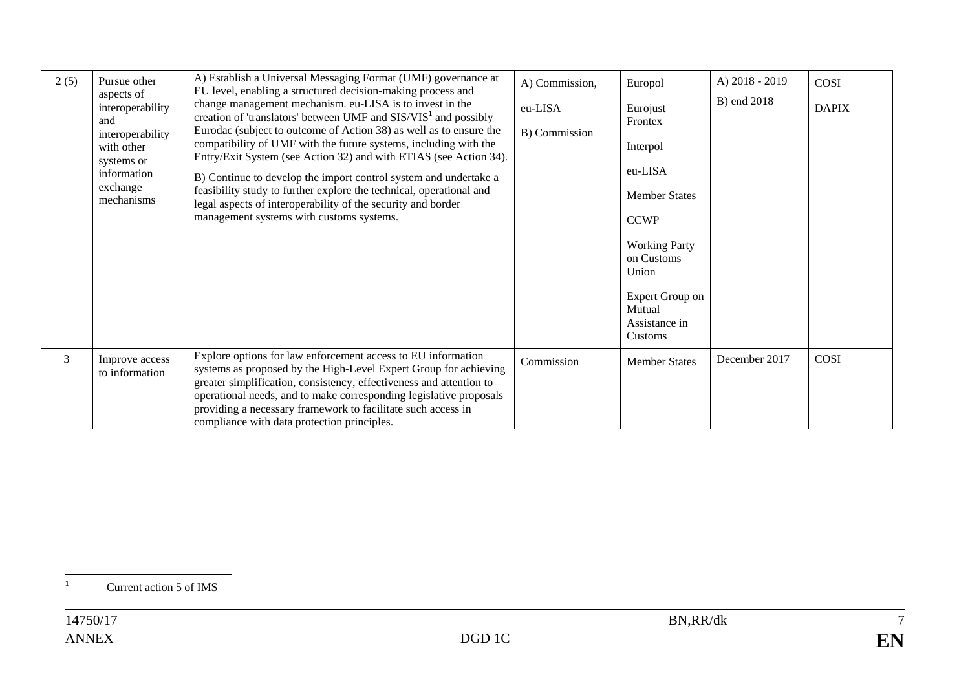| 2(5) | Pursue other<br>aspects of<br>interoperability<br>and<br>interoperability<br>with other<br>systems or<br>information<br>exchange<br>mechanisms | A) Establish a Universal Messaging Format (UMF) governance at<br>EU level, enabling a structured decision-making process and<br>change management mechanism. eu-LISA is to invest in the<br>creation of 'translators' between $UMF$ and $SIS/VIS1$ and possibly<br>Eurodac (subject to outcome of Action 38) as well as to ensure the<br>compatibility of UMF with the future systems, including with the<br>Entry/Exit System (see Action 32) and with ETIAS (see Action 34).<br>B) Continue to develop the import control system and undertake a<br>feasibility study to further explore the technical, operational and<br>legal aspects of interoperability of the security and border<br>management systems with customs systems. | A) Commission,<br>eu-LISA<br>B) Commission | Europol<br>Eurojust<br>Frontex<br>Interpol<br>eu-LISA<br><b>Member States</b><br><b>CCWP</b><br><b>Working Party</b><br>on Customs<br>Union<br>Expert Group on<br>Mutual<br>Assistance in<br>Customs | A) 2018 - 2019<br>B) end 2018 | COSI<br><b>DAPIX</b> |
|------|------------------------------------------------------------------------------------------------------------------------------------------------|---------------------------------------------------------------------------------------------------------------------------------------------------------------------------------------------------------------------------------------------------------------------------------------------------------------------------------------------------------------------------------------------------------------------------------------------------------------------------------------------------------------------------------------------------------------------------------------------------------------------------------------------------------------------------------------------------------------------------------------|--------------------------------------------|------------------------------------------------------------------------------------------------------------------------------------------------------------------------------------------------------|-------------------------------|----------------------|
| 3    | Improve access<br>to information                                                                                                               | Explore options for law enforcement access to EU information<br>systems as proposed by the High-Level Expert Group for achieving<br>greater simplification, consistency, effectiveness and attention to<br>operational needs, and to make corresponding legislative proposals<br>providing a necessary framework to facilitate such access in<br>compliance with data protection principles.                                                                                                                                                                                                                                                                                                                                          | Commission                                 | <b>Member States</b>                                                                                                                                                                                 | December 2017                 | COSI                 |

<sup>1</sup> Current action 5 of IMS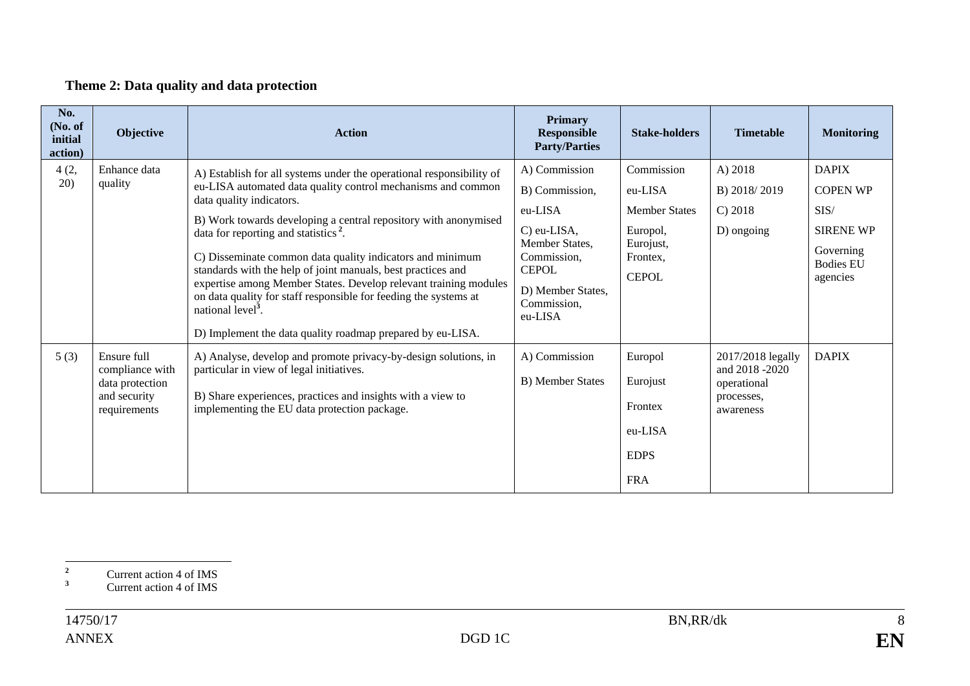## **Theme 2: Data quality and data protection**

| No.<br>(No. of<br>initial<br>action) | Objective                                                                         | <b>Action</b>                                                                                                                                                                                                                                                                                                                                                                                                                                                                                                                                                                                                                                       | Primary<br><b>Responsible</b><br><b>Party/Parties</b>                                                                                                        | <b>Stake-holders</b>                                                                               | <b>Timetable</b>                                                              | <b>Monitoring</b>                                                                                        |
|--------------------------------------|-----------------------------------------------------------------------------------|-----------------------------------------------------------------------------------------------------------------------------------------------------------------------------------------------------------------------------------------------------------------------------------------------------------------------------------------------------------------------------------------------------------------------------------------------------------------------------------------------------------------------------------------------------------------------------------------------------------------------------------------------------|--------------------------------------------------------------------------------------------------------------------------------------------------------------|----------------------------------------------------------------------------------------------------|-------------------------------------------------------------------------------|----------------------------------------------------------------------------------------------------------|
| 4(2,<br>20)                          | Enhance data<br>quality                                                           | A) Establish for all systems under the operational responsibility of<br>eu-LISA automated data quality control mechanisms and common<br>data quality indicators.<br>B) Work towards developing a central repository with anonymised<br>data for reporting and statistics $^2$ .<br>C) Disseminate common data quality indicators and minimum<br>standards with the help of joint manuals, best practices and<br>expertise among Member States. Develop relevant training modules<br>on data quality for staff responsible for feeding the systems at<br>national level <sup>3</sup> .<br>D) Implement the data quality roadmap prepared by eu-LISA. | A) Commission<br>B) Commission,<br>eu-LISA<br>$C$ ) eu-LISA,<br>Member States,<br>Commission,<br><b>CEPOL</b><br>D) Member States,<br>Commission,<br>eu-LISA | Commission<br>eu-LISA<br><b>Member States</b><br>Europol,<br>Eurojust,<br>Frontex,<br><b>CEPOL</b> | A) 2018<br>B) 2018/2019<br>C) 2018<br>D) ongoing                              | <b>DAPIX</b><br><b>COPEN WP</b><br>SIS/<br><b>SIRENE WP</b><br>Governing<br><b>Bodies EU</b><br>agencies |
| 5(3)                                 | Ensure full<br>compliance with<br>data protection<br>and security<br>requirements | A) Analyse, develop and promote privacy-by-design solutions, in<br>particular in view of legal initiatives.<br>B) Share experiences, practices and insights with a view to<br>implementing the EU data protection package.                                                                                                                                                                                                                                                                                                                                                                                                                          | A) Commission<br>B) Member States                                                                                                                            | Europol<br>Eurojust<br>Frontex<br>eu-LISA<br><b>EDPS</b><br><b>FRA</b>                             | 2017/2018 legally<br>and 2018 -2020<br>operational<br>processes,<br>awareness | <b>DAPIX</b>                                                                                             |

**<sup>3</sup>** Current action 4 of IMS

**<sup>2</sup>** Current action 4 of IMS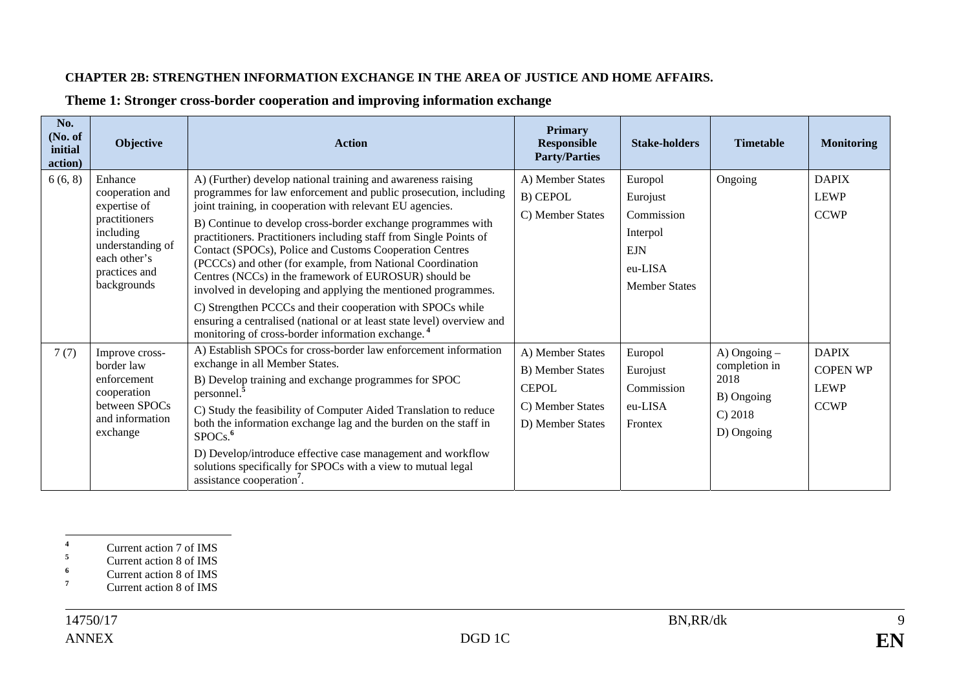#### **CHAPTER 2B: STRENGTHEN INFORMATION EXCHANGE IN THE AREA OF JUSTICE AND HOME AFFAIRS.**

| No.<br>(No. of<br>initial<br>action) | Objective                                                                                                                                    | <b>Action</b>                                                                                                                                                                                                                                                                                                                                                                                                                                                                                                                                                                                                                                                                                                                                                                                   | <b>Primary</b><br><b>Responsible</b><br><b>Party/Parties</b>                                        | <b>Stake-holders</b>                                                                    | <b>Timetable</b>                                                             | <b>Monitoring</b>                                             |
|--------------------------------------|----------------------------------------------------------------------------------------------------------------------------------------------|-------------------------------------------------------------------------------------------------------------------------------------------------------------------------------------------------------------------------------------------------------------------------------------------------------------------------------------------------------------------------------------------------------------------------------------------------------------------------------------------------------------------------------------------------------------------------------------------------------------------------------------------------------------------------------------------------------------------------------------------------------------------------------------------------|-----------------------------------------------------------------------------------------------------|-----------------------------------------------------------------------------------------|------------------------------------------------------------------------------|---------------------------------------------------------------|
| 6(6, 8)                              | Enhance<br>cooperation and<br>expertise of<br>practitioners<br>including<br>understanding of<br>each other's<br>practices and<br>backgrounds | A) (Further) develop national training and awareness raising<br>programmes for law enforcement and public prosecution, including<br>joint training, in cooperation with relevant EU agencies.<br>B) Continue to develop cross-border exchange programmes with<br>practitioners. Practitioners including staff from Single Points of<br>Contact (SPOCs), Police and Customs Cooperation Centres<br>(PCCCs) and other (for example, from National Coordination<br>Centres (NCCs) in the framework of EUROSUR) should be<br>involved in developing and applying the mentioned programmes.<br>C) Strengthen PCCCs and their cooperation with SPOCs while<br>ensuring a centralised (national or at least state level) overview and<br>monitoring of cross-border information exchange. <sup>4</sup> | A) Member States<br>B) CEPOL<br>C) Member States                                                    | Europol<br>Eurojust<br>Commission<br>Interpol<br>EJN<br>eu-LISA<br><b>Member States</b> | Ongoing                                                                      | <b>DAPIX</b><br><b>LEWP</b><br><b>CCWP</b>                    |
| 7(7)                                 | Improve cross-<br>border law<br>enforcement<br>cooperation<br>between SPOCs<br>and information<br>exchange                                   | A) Establish SPOCs for cross-border law enforcement information<br>exchange in all Member States.<br>B) Develop training and exchange programmes for SPOC<br>personnel.<br>C) Study the feasibility of Computer Aided Translation to reduce<br>both the information exchange lag and the burden on the staff in<br>SPOC <sub>s.</sub> <sup>6</sup><br>D) Develop/introduce effective case management and workflow<br>solutions specifically for SPOCs with a view to mutual legal<br>assistance cooperation <sup>7</sup> .                                                                                                                                                                                                                                                                      | A) Member States<br><b>B)</b> Member States<br><b>CEPOL</b><br>C) Member States<br>D) Member States | Europol<br>Eurojust<br>Commission<br>eu-LISA<br>Frontex                                 | A) Ongoing -<br>completion in<br>2018<br>B) Ongoing<br>C) 2018<br>D) Ongoing | <b>DAPIX</b><br><b>COPEN WP</b><br><b>LEWP</b><br><b>CCWP</b> |

#### **Theme 1: Stronger cross-border cooperation and improving information exchange**

**<sup>6</sup>** Current action 8 of IMS

<sup>7</sup> Current action 8 of IMS

**<sup>4</sup>** Current action 7 of IMS

**<sup>5</sup>** Current action 8 of IMS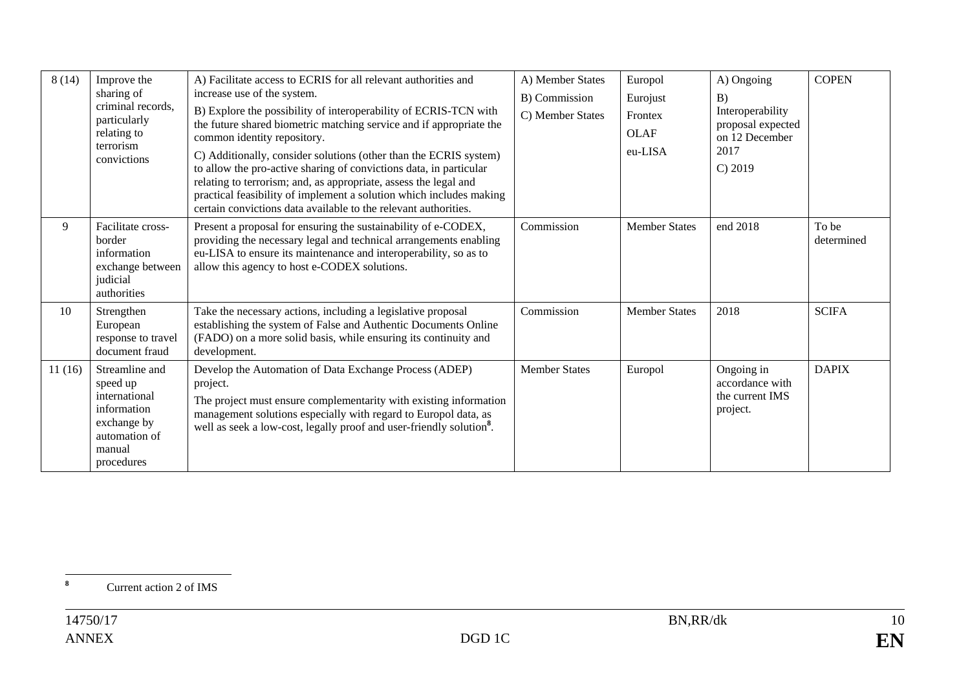| 8(14)  | Improve the<br>sharing of<br>criminal records,<br>particularly<br>relating to<br>terrorism<br>convictions          | A) Facilitate access to ECRIS for all relevant authorities and<br>increase use of the system.<br>B) Explore the possibility of interoperability of ECRIS-TCN with<br>the future shared biometric matching service and if appropriate the<br>common identity repository.<br>C) Additionally, consider solutions (other than the ECRIS system)<br>to allow the pro-active sharing of convictions data, in particular<br>relating to terrorism; and, as appropriate, assess the legal and<br>practical feasibility of implement a solution which includes making<br>certain convictions data available to the relevant authorities. | A) Member States<br>B) Commission<br>C) Member States | Europol<br>Eurojust<br>Frontex<br><b>OLAF</b><br>eu-LISA | A) Ongoing<br>B)<br>Interoperability<br>proposal expected<br>on 12 December<br>2017<br>$C$ ) 2019 | <b>COPEN</b>        |
|--------|--------------------------------------------------------------------------------------------------------------------|----------------------------------------------------------------------------------------------------------------------------------------------------------------------------------------------------------------------------------------------------------------------------------------------------------------------------------------------------------------------------------------------------------------------------------------------------------------------------------------------------------------------------------------------------------------------------------------------------------------------------------|-------------------------------------------------------|----------------------------------------------------------|---------------------------------------------------------------------------------------------------|---------------------|
| 9      | Facilitate cross-<br>border<br>information<br>exchange between<br>judicial<br>authorities                          | Present a proposal for ensuring the sustainability of e-CODEX,<br>providing the necessary legal and technical arrangements enabling<br>eu-LISA to ensure its maintenance and interoperability, so as to<br>allow this agency to host e-CODEX solutions.                                                                                                                                                                                                                                                                                                                                                                          | Commission                                            | <b>Member States</b>                                     | end 2018                                                                                          | To be<br>determined |
| 10     | Strengthen<br>European<br>response to travel<br>document fraud                                                     | Take the necessary actions, including a legislative proposal<br>establishing the system of False and Authentic Documents Online<br>(FADO) on a more solid basis, while ensuring its continuity and<br>development.                                                                                                                                                                                                                                                                                                                                                                                                               | Commission                                            | <b>Member States</b>                                     | 2018                                                                                              | <b>SCIFA</b>        |
| 11(16) | Streamline and<br>speed up<br>international<br>information<br>exchange by<br>automation of<br>manual<br>procedures | Develop the Automation of Data Exchange Process (ADEP)<br>project.<br>The project must ensure complementarity with existing information<br>management solutions especially with regard to Europol data, as<br>well as seek a low-cost, legally proof and user-friendly solution <sup>8</sup> .                                                                                                                                                                                                                                                                                                                                   | <b>Member States</b>                                  | Europol                                                  | Ongoing in<br>accordance with<br>the current IMS<br>project.                                      | <b>DAPIX</b>        |

**<sup>8</sup>** Current action 2 of IMS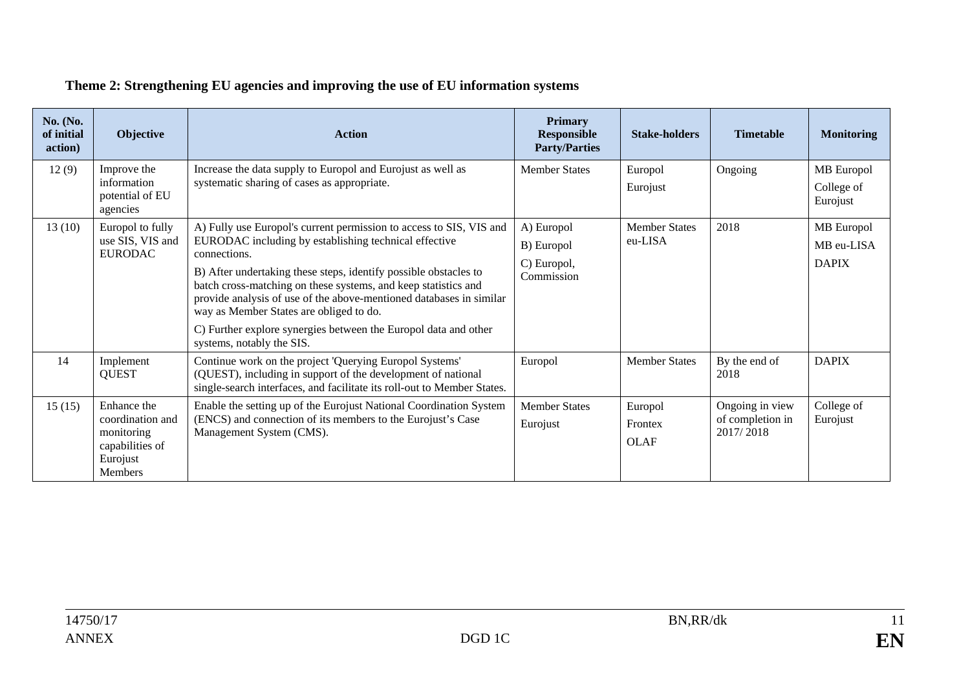#### **No. (No. of initial action) Objective Action Primary Responsible Party/Parties Stake-holders Timetable Monitoring**  12(9) Improve the information potential of EU agencies Increase the data supply to Europol and Eurojust as well as systematic sharing of cases as appropriate. Member States | Europol Eurojust Ongoing | MB Europol College of Eurojust 13 (10) Europol to fully use SIS, VIS and EURODAC A) Fully use Europol's current permission to access to SIS, VIS and EURODAC including by establishing technical effective connections. B) After undertaking these steps, identify possible obstacles to batch cross-matching on these systems, and keep statistics and provide analysis of use of the above-mentioned databases in similar way as Member States are obliged to do. C) Further explore synergies between the Europol data and other systems, notably the SIS. A) Europol B) Europol C) Europol, Commission Member States eu-LISA 2018 MB Europol MB eu-LISA DAPIX 14 Implement **OUEST** Continue work on the project 'Querying Europol Systems' (QUEST), including in support of the development of national single-search interfaces, and facilitate its roll-out to Member States. Europol Member States By the end of 2018 DAPIX 15 (15) Enhance the coordination and monitoring capabilities of Eurojust Members Enable the setting up of the Eurojust National Coordination System (ENCS) and connection of its members to the Eurojust's Case Management System (CMS). Member States Eurojust Europol Frontex OLAF Ongoing in view of completion in 2017/ 2018 College of Eurojust

#### **Theme 2: Strengthening EU agencies and improving the use of EU information systems**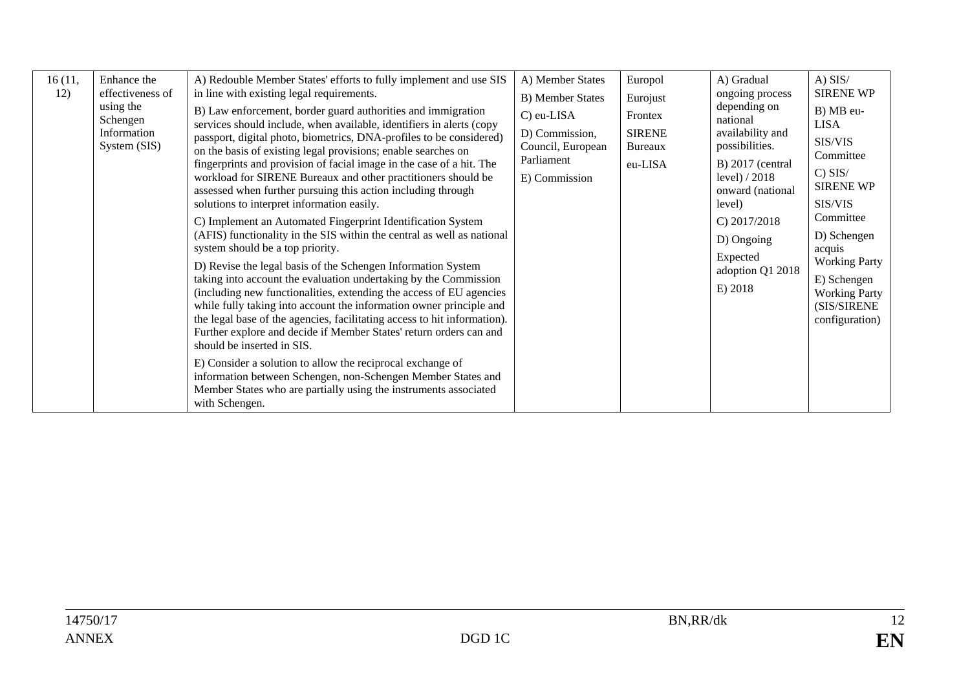| 16(11,<br>12) | Enhance the<br>effectiveness of<br>using the<br>Schengen<br>Information<br>System (SIS) | A) Redouble Member States' efforts to fully implement and use SIS<br>in line with existing legal requirements.<br>B) Law enforcement, border guard authorities and immigration<br>services should include, when available, identifiers in alerts (copy<br>passport, digital photo, biometrics, DNA-profiles to be considered)<br>on the basis of existing legal provisions; enable searches on<br>fingerprints and provision of facial image in the case of a hit. The<br>workload for SIRENE Bureaux and other practitioners should be<br>assessed when further pursuing this action including through<br>solutions to interpret information easily.<br>C) Implement an Automated Fingerprint Identification System<br>(AFIS) functionality in the SIS within the central as well as national<br>system should be a top priority.<br>D) Revise the legal basis of the Schengen Information System<br>taking into account the evaluation undertaking by the Commission<br>(including new functionalities, extending the access of EU agencies<br>while fully taking into account the information owner principle and<br>the legal base of the agencies, facilitating access to hit information).<br>Further explore and decide if Member States' return orders can and<br>should be inserted in SIS.<br>E) Consider a solution to allow the reciprocal exchange of<br>information between Schengen, non-Schengen Member States and<br>Member States who are partially using the instruments associated<br>with Schengen. | A) Member States<br>B) Member States<br>C) eu-LISA<br>D) Commission,<br>Council, European<br>Parliament<br>E) Commission | Europol<br>Eurojust<br>Frontex<br><b>SIRENE</b><br><b>Bureaux</b><br>eu-LISA | A) Gradual<br>ongoing process<br>depending on<br>national<br>availability and<br>possibilities.<br>$B)$ 2017 (central<br>level) $/2018$<br>onward (national<br>level)<br>C) $2017/2018$<br>D) Ongoing<br>Expected<br>adoption Q1 2018<br>E) 2018 | $A)$ SIS/<br><b>SIRENE WP</b><br>B) MB eu-<br>LISA<br>SIS/VIS<br>Committee<br>$C)$ SIS/<br><b>SIRENE WP</b><br>SIS/VIS<br>Committee<br>D) Schengen<br>acquis<br><b>Working Party</b><br>E) Schengen<br><b>Working Party</b><br>(SIS/SIRENE<br>configuration) |
|---------------|-----------------------------------------------------------------------------------------|--------------------------------------------------------------------------------------------------------------------------------------------------------------------------------------------------------------------------------------------------------------------------------------------------------------------------------------------------------------------------------------------------------------------------------------------------------------------------------------------------------------------------------------------------------------------------------------------------------------------------------------------------------------------------------------------------------------------------------------------------------------------------------------------------------------------------------------------------------------------------------------------------------------------------------------------------------------------------------------------------------------------------------------------------------------------------------------------------------------------------------------------------------------------------------------------------------------------------------------------------------------------------------------------------------------------------------------------------------------------------------------------------------------------------------------------------------------------------------------------------------------------------|--------------------------------------------------------------------------------------------------------------------------|------------------------------------------------------------------------------|--------------------------------------------------------------------------------------------------------------------------------------------------------------------------------------------------------------------------------------------------|--------------------------------------------------------------------------------------------------------------------------------------------------------------------------------------------------------------------------------------------------------------|
|---------------|-----------------------------------------------------------------------------------------|--------------------------------------------------------------------------------------------------------------------------------------------------------------------------------------------------------------------------------------------------------------------------------------------------------------------------------------------------------------------------------------------------------------------------------------------------------------------------------------------------------------------------------------------------------------------------------------------------------------------------------------------------------------------------------------------------------------------------------------------------------------------------------------------------------------------------------------------------------------------------------------------------------------------------------------------------------------------------------------------------------------------------------------------------------------------------------------------------------------------------------------------------------------------------------------------------------------------------------------------------------------------------------------------------------------------------------------------------------------------------------------------------------------------------------------------------------------------------------------------------------------------------|--------------------------------------------------------------------------------------------------------------------------|------------------------------------------------------------------------------|--------------------------------------------------------------------------------------------------------------------------------------------------------------------------------------------------------------------------------------------------|--------------------------------------------------------------------------------------------------------------------------------------------------------------------------------------------------------------------------------------------------------------|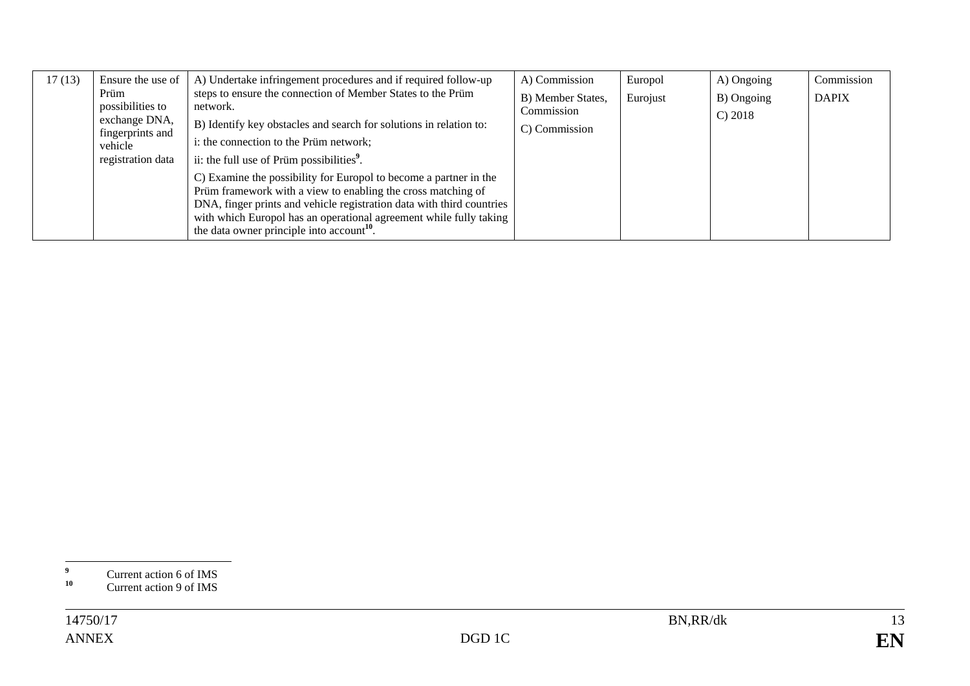| 17(13) | Ensure the use of                                                 | A) Undertake infringement procedures and if required follow-up                                                                                                                                                                                                                                                                            | A) Commission                               | Europol | A) Ongoing | Commission   |
|--------|-------------------------------------------------------------------|-------------------------------------------------------------------------------------------------------------------------------------------------------------------------------------------------------------------------------------------------------------------------------------------------------------------------------------------|---------------------------------------------|---------|------------|--------------|
|        | Prüm<br>possibilities to                                          | steps to ensure the connection of Member States to the Prüm<br>network.<br>B) Identify key obstacles and search for solutions in relation to:                                                                                                                                                                                             | Eurojust<br>B) Member States,<br>Commission |         | B) Ongoing | <b>DAPIX</b> |
|        | exchange DNA,<br>fingerprints and<br>vehicle<br>registration data |                                                                                                                                                                                                                                                                                                                                           |                                             |         | $C$ ) 2018 |              |
|        |                                                                   | i: the connection to the Prüm network;                                                                                                                                                                                                                                                                                                    | C) Commission                               |         |            |              |
|        |                                                                   | ii: the full use of Prüm possibilities <sup>9</sup> .                                                                                                                                                                                                                                                                                     |                                             |         |            |              |
|        |                                                                   | C) Examine the possibility for Europol to become a partner in the<br>Prüm framework with a view to enabling the cross matching of<br>DNA, finger prints and vehicle registration data with third countries<br>with which Europol has an operational agreement while fully taking<br>the data owner principle into account <sup>10</sup> . |                                             |         |            |              |

<sup>&</sup>lt;sup>9</sup> Current action 6 of IMS<br> **10** Current action 9 of IMS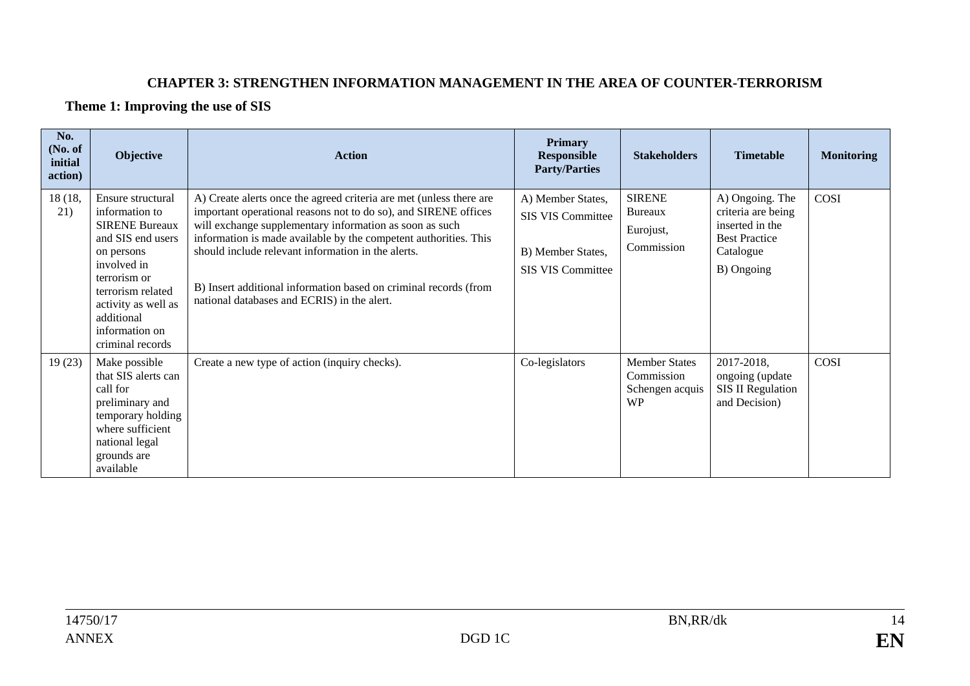#### **CHAPTER 3: STRENGTHEN INFORMATION MANAGEMENT IN THE AREA OF COUNTER-TERRORISM**

#### **Theme 1: Improving the use of SIS**

| No.<br>(No. of<br>initial<br>action) | Objective                                                                                                                                                                                                                      | <b>Action</b>                                                                                                                                                                                                                                                                                                                                                                                                                                  | <b>Primary</b><br><b>Responsible</b><br><b>Party/Parties</b>                     | <b>Stakeholders</b>                                                | <b>Timetable</b>                                                                                            | <b>Monitoring</b> |
|--------------------------------------|--------------------------------------------------------------------------------------------------------------------------------------------------------------------------------------------------------------------------------|------------------------------------------------------------------------------------------------------------------------------------------------------------------------------------------------------------------------------------------------------------------------------------------------------------------------------------------------------------------------------------------------------------------------------------------------|----------------------------------------------------------------------------------|--------------------------------------------------------------------|-------------------------------------------------------------------------------------------------------------|-------------------|
| 18 (18,<br>21)                       | Ensure structural<br>information to<br><b>SIRENE Bureaux</b><br>and SIS end users<br>on persons<br>involved in<br>terrorism or<br>terrorism related<br>activity as well as<br>additional<br>information on<br>criminal records | A) Create alerts once the agreed criteria are met (unless there are<br>important operational reasons not to do so), and SIRENE offices<br>will exchange supplementary information as soon as such<br>information is made available by the competent authorities. This<br>should include relevant information in the alerts.<br>B) Insert additional information based on criminal records (from<br>national databases and ECRIS) in the alert. | A) Member States,<br>SIS VIS Committee<br>B) Member States,<br>SIS VIS Committee | <b>SIRENE</b><br>Bureaux<br>Eurojust,<br>Commission                | A) Ongoing. The<br>criteria are being<br>inserted in the<br><b>Best Practice</b><br>Catalogue<br>B) Ongoing | COSI              |
| 19(23)                               | Make possible<br>that SIS alerts can<br>call for<br>preliminary and<br>temporary holding<br>where sufficient<br>national legal<br>grounds are<br>available                                                                     | Create a new type of action (inquiry checks).                                                                                                                                                                                                                                                                                                                                                                                                  | Co-legislators                                                                   | <b>Member States</b><br>Commission<br>Schengen acquis<br><b>WP</b> | 2017-2018,<br>ongoing (update<br><b>SIS II Regulation</b><br>and Decision)                                  | COSI              |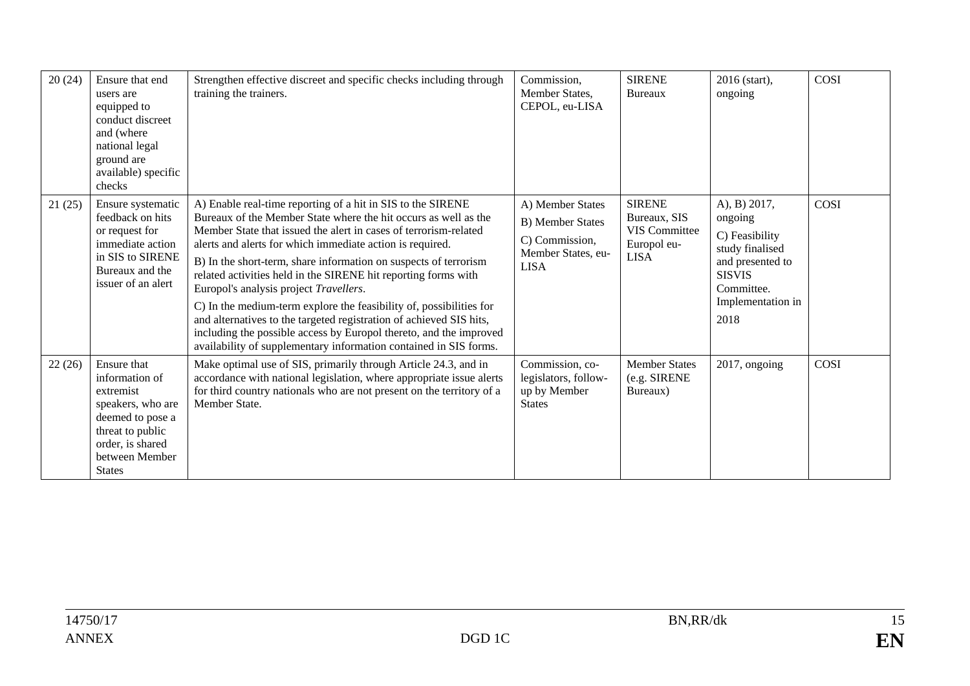| 20(24) | Ensure that end<br>users are<br>equipped to<br>conduct discreet<br>and (where<br>national legal<br>ground are<br>available) specific<br>checks                 | Strengthen effective discreet and specific checks including through<br>training the trainers.                                                                                                                                                                                                                                                                                                                                                                                                                                                                                                                                                                                                                                            | Commission,<br>Member States,<br>CEPOL, eu-LISA                                                    | <b>SIRENE</b><br>Bureaux                                                     | 2016 (start),<br>ongoing                                                                                                                     | COSI |
|--------|----------------------------------------------------------------------------------------------------------------------------------------------------------------|------------------------------------------------------------------------------------------------------------------------------------------------------------------------------------------------------------------------------------------------------------------------------------------------------------------------------------------------------------------------------------------------------------------------------------------------------------------------------------------------------------------------------------------------------------------------------------------------------------------------------------------------------------------------------------------------------------------------------------------|----------------------------------------------------------------------------------------------------|------------------------------------------------------------------------------|----------------------------------------------------------------------------------------------------------------------------------------------|------|
| 21(25) | Ensure systematic<br>feedback on hits<br>or request for<br>immediate action<br>in SIS to SIRENE<br>Bureaux and the<br>issuer of an alert                       | A) Enable real-time reporting of a hit in SIS to the SIRENE<br>Bureaux of the Member State where the hit occurs as well as the<br>Member State that issued the alert in cases of terrorism-related<br>alerts and alerts for which immediate action is required.<br>B) In the short-term, share information on suspects of terrorism<br>related activities held in the SIRENE hit reporting forms with<br>Europol's analysis project Travellers.<br>C) In the medium-term explore the feasibility of, possibilities for<br>and alternatives to the targeted registration of achieved SIS hits,<br>including the possible access by Europol thereto, and the improved<br>availability of supplementary information contained in SIS forms. | A) Member States<br><b>B)</b> Member States<br>C) Commission,<br>Member States, eu-<br><b>LISA</b> | <b>SIRENE</b><br>Bureaux, SIS<br>VIS Committee<br>Europol eu-<br><b>LISA</b> | A), B) 2017,<br>ongoing<br>C) Feasibility<br>study finalised<br>and presented to<br><b>SISVIS</b><br>Committee.<br>Implementation in<br>2018 | COSI |
| 22(26) | Ensure that<br>information of<br>extremist<br>speakers, who are<br>deemed to pose a<br>threat to public<br>order, is shared<br>between Member<br><b>States</b> | Make optimal use of SIS, primarily through Article 24.3, and in<br>accordance with national legislation, where appropriate issue alerts<br>for third country nationals who are not present on the territory of a<br>Member State.                                                                                                                                                                                                                                                                                                                                                                                                                                                                                                        | Commission, co-<br>legislators, follow-<br>up by Member<br><b>States</b>                           | <b>Member States</b><br>(e.g. SIRENE<br>Bureaux)                             | 2017, ongoing                                                                                                                                | COSI |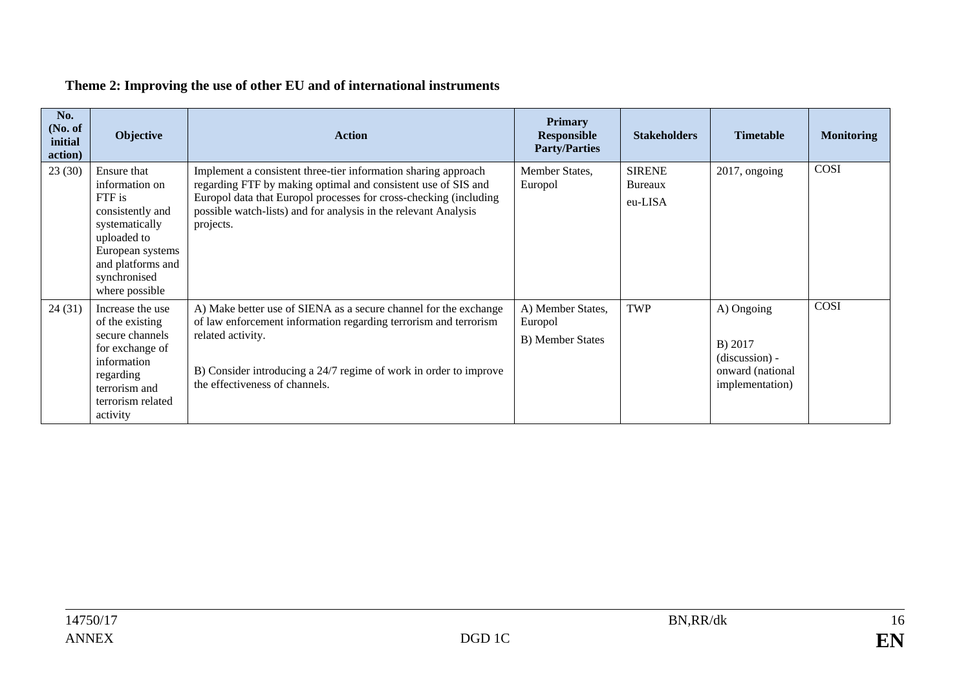### **Theme 2: Improving the use of other EU and of international instruments**

| No.<br>(No. of<br>initial<br>action) | <b>Objective</b>                                                                                                                                                        | <b>Action</b>                                                                                                                                                                                                                                                                        | <b>Primary</b><br><b>Responsible</b><br><b>Party/Parties</b> | <b>Stakeholders</b>                 | <b>Timetable</b>                                                                 | <b>Monitoring</b> |
|--------------------------------------|-------------------------------------------------------------------------------------------------------------------------------------------------------------------------|--------------------------------------------------------------------------------------------------------------------------------------------------------------------------------------------------------------------------------------------------------------------------------------|--------------------------------------------------------------|-------------------------------------|----------------------------------------------------------------------------------|-------------------|
| 23(30)                               | Ensure that<br>information on<br>FTF is<br>consistently and<br>systematically<br>uploaded to<br>European systems<br>and platforms and<br>synchronised<br>where possible | Implement a consistent three-tier information sharing approach<br>regarding FTF by making optimal and consistent use of SIS and<br>Europol data that Europol processes for cross-checking (including<br>possible watch-lists) and for analysis in the relevant Analysis<br>projects. | Member States,<br>Europol                                    | <b>SIRENE</b><br>Bureaux<br>eu-LISA | 2017, ongoing                                                                    | COSI              |
| 24(31)                               | Increase the use<br>of the existing<br>secure channels<br>for exchange of<br>information<br>regarding<br>terrorism and<br>terrorism related<br>activity                 | A) Make better use of SIENA as a secure channel for the exchange<br>of law enforcement information regarding terrorism and terrorism<br>related activity.<br>B) Consider introducing a 24/7 regime of work in order to improve<br>the effectiveness of channels.                     | A) Member States,<br>Europol<br>B) Member States             | <b>TWP</b>                          | A) Ongoing<br>B) 2017<br>$(discussion) -$<br>onward (national<br>implementation) | COSI              |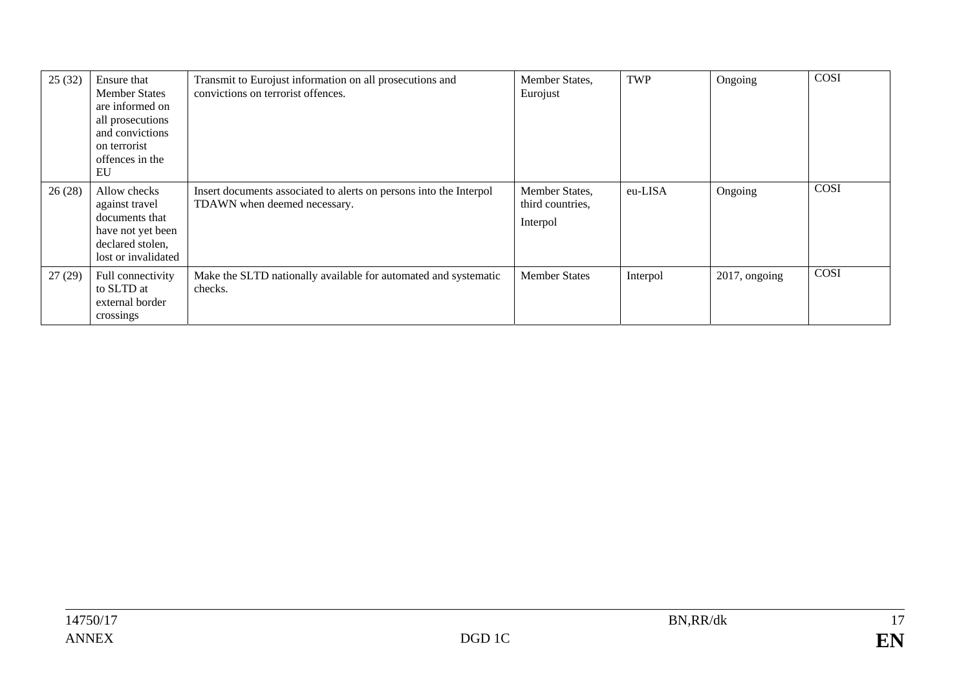| 25(32) | Ensure that<br><b>Member States</b><br>are informed on<br>all prosecutions<br>and convictions<br>on terrorist<br>offences in the<br>EU | Transmit to Eurojust information on all prosecutions and<br>convictions on terrorist offences.     | Member States,<br>Eurojust                     | TWP      | Ongoing       | COSI |
|--------|----------------------------------------------------------------------------------------------------------------------------------------|----------------------------------------------------------------------------------------------------|------------------------------------------------|----------|---------------|------|
| 26(28) | Allow checks<br>against travel<br>documents that<br>have not yet been<br>declared stolen,<br>lost or invalidated                       | Insert documents associated to alerts on persons into the Interpol<br>TDAWN when deemed necessary. | Member States,<br>third countries,<br>Interpol | eu-LISA  | Ongoing       | COSI |
| 27(29) | Full connectivity<br>to SLTD at<br>external border<br>crossings                                                                        | Make the SLTD nationally available for automated and systematic<br>checks.                         | <b>Member States</b>                           | Interpol | 2017, ongoing | COSI |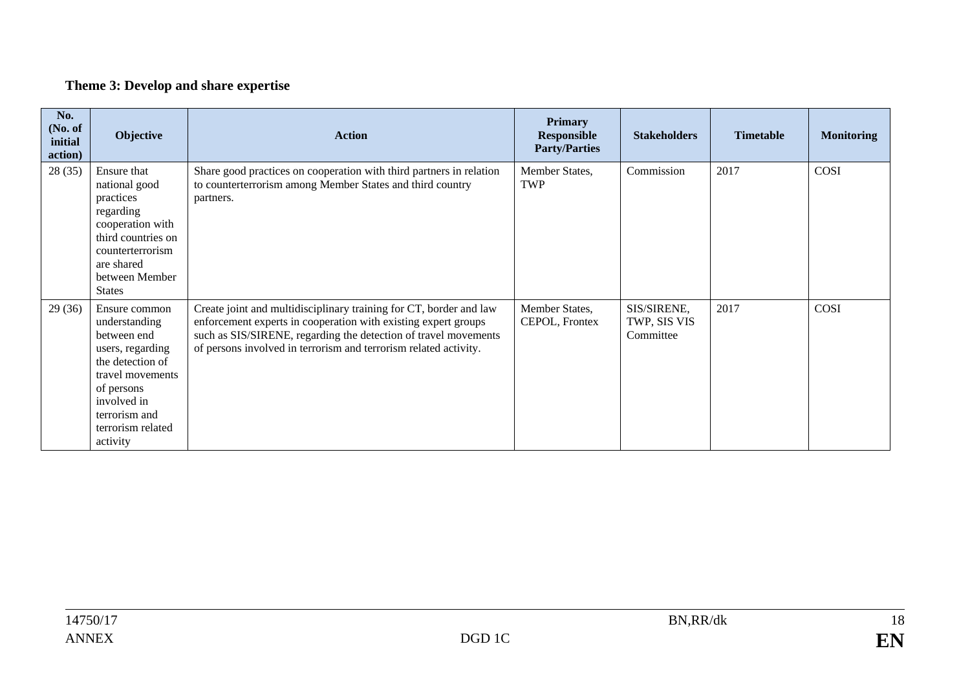## **Theme 3: Develop and share expertise**

| No.<br>(No. of<br>initial<br>action) | Objective                                                                                                                                                                                | <b>Action</b>                                                                                                                                                                                                                                                               | Primary<br><b>Responsible</b><br><b>Party/Parties</b> | <b>Stakeholders</b>                      | <b>Timetable</b> | <b>Monitoring</b> |
|--------------------------------------|------------------------------------------------------------------------------------------------------------------------------------------------------------------------------------------|-----------------------------------------------------------------------------------------------------------------------------------------------------------------------------------------------------------------------------------------------------------------------------|-------------------------------------------------------|------------------------------------------|------------------|-------------------|
| 28(35)                               | Ensure that<br>national good<br>practices<br>regarding<br>cooperation with<br>third countries on<br>counterterrorism<br>are shared<br>between Member<br><b>States</b>                    | Share good practices on cooperation with third partners in relation<br>to counterterrorism among Member States and third country<br>partners.                                                                                                                               | Member States,<br>TWP                                 | Commission                               | 2017             | COSI              |
| 29(36)                               | Ensure common<br>understanding<br>between end<br>users, regarding<br>the detection of<br>travel movements<br>of persons<br>involved in<br>terrorism and<br>terrorism related<br>activity | Create joint and multidisciplinary training for CT, border and law<br>enforcement experts in cooperation with existing expert groups<br>such as SIS/SIRENE, regarding the detection of travel movements<br>of persons involved in terrorism and terrorism related activity. | Member States,<br>CEPOL, Frontex                      | SIS/SIRENE,<br>TWP, SIS VIS<br>Committee | 2017             | COSI              |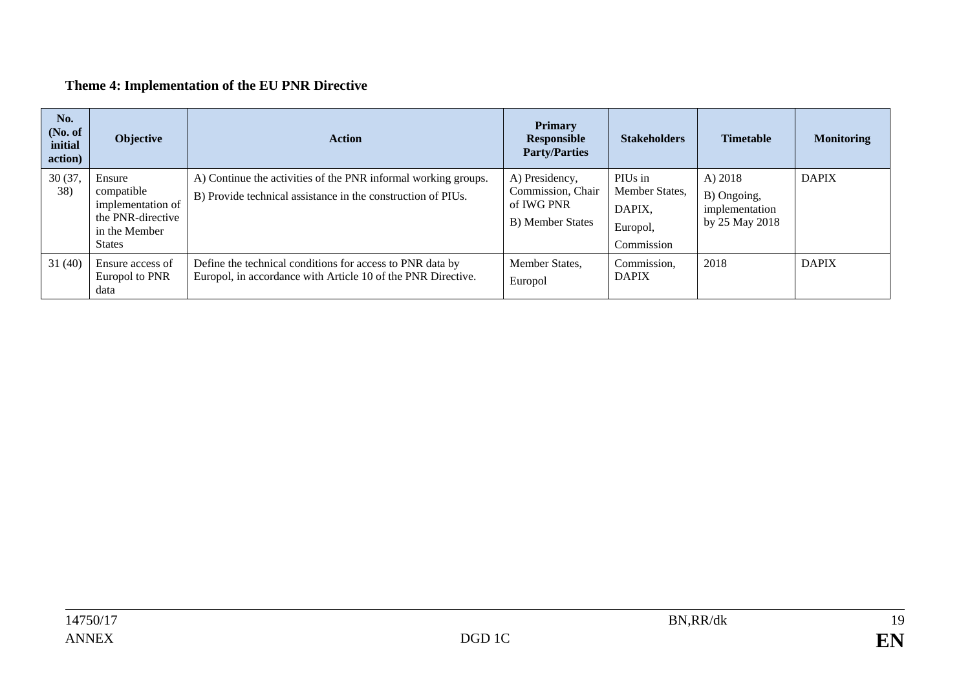## **Theme 4: Implementation of the EU PNR Directive**

| No.<br>(No. of<br>initial<br>action) | Objective                                                                                        | <b>Action</b>                                                                                                                  | <b>Primary</b><br><b>Responsible</b><br><b>Party/Parties</b>                  | <b>Stakeholders</b>                                           | <b>Timetable</b>                                             | <b>Monitoring</b> |
|--------------------------------------|--------------------------------------------------------------------------------------------------|--------------------------------------------------------------------------------------------------------------------------------|-------------------------------------------------------------------------------|---------------------------------------------------------------|--------------------------------------------------------------|-------------------|
| 30 (37,<br>38)                       | Ensure<br>compatible<br>implementation of<br>the PNR-directive<br>in the Member<br><b>States</b> | A) Continue the activities of the PNR informal working groups.<br>B) Provide technical assistance in the construction of PIUs. | A) Presidency,<br>Commission, Chair<br>of IWG PNR<br><b>B</b> ) Member States | PIUs in<br>Member States,<br>DAPIX,<br>Europol,<br>Commission | A) $2018$<br>B) Ongoing,<br>implementation<br>by 25 May 2018 | <b>DAPIX</b>      |
| 31(40)                               | Ensure access of<br>Europol to PNR<br>data                                                       | Define the technical conditions for access to PNR data by<br>Europol, in accordance with Article 10 of the PNR Directive.      | Member States,<br>Europol                                                     | Commission,<br><b>DAPIX</b>                                   | 2018                                                         | <b>DAPIX</b>      |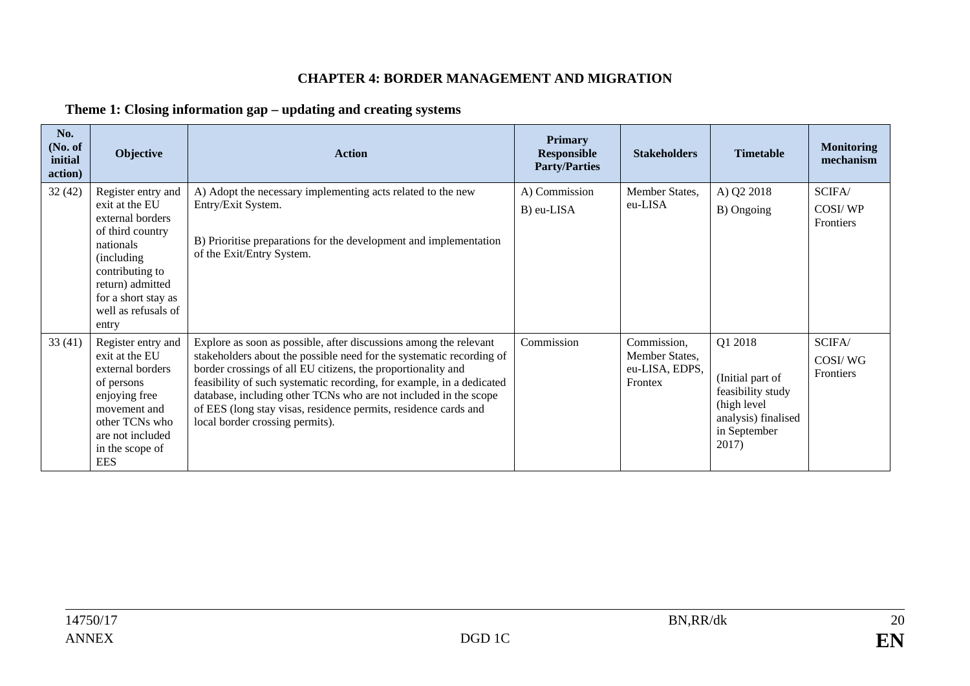#### **CHAPTER 4: BORDER MANAGEMENT AND MIGRATION**

### **Theme 1: Closing information gap – updating and creating systems**

| No.<br>(No. of<br>initial<br>action) | Objective                                                                                                                                                                                              | <b>Action</b>                                                                                                                                                                                                                                                                                                                                                                                                                                                | <b>Primary</b><br><b>Responsible</b><br><b>Party/Parties</b> | <b>Stakeholders</b>                                        | <b>Timetable</b>                                                                                                | <b>Monitoring</b><br>mechanism        |
|--------------------------------------|--------------------------------------------------------------------------------------------------------------------------------------------------------------------------------------------------------|--------------------------------------------------------------------------------------------------------------------------------------------------------------------------------------------------------------------------------------------------------------------------------------------------------------------------------------------------------------------------------------------------------------------------------------------------------------|--------------------------------------------------------------|------------------------------------------------------------|-----------------------------------------------------------------------------------------------------------------|---------------------------------------|
| 32(42)                               | Register entry and<br>exit at the EU<br>external borders<br>of third country<br>nationals<br>(including)<br>contributing to<br>return) admitted<br>for a short stay as<br>well as refusals of<br>entry | A) Adopt the necessary implementing acts related to the new<br>Entry/Exit System.<br>B) Prioritise preparations for the development and implementation<br>of the Exit/Entry System.                                                                                                                                                                                                                                                                          | A) Commission<br>B) eu-LISA                                  | Member States,<br>eu-LISA                                  | A) Q2 2018<br>B) Ongoing                                                                                        | SCIFA/<br>COSI/WP<br>Frontiers        |
| 33(41)                               | Register entry and<br>exit at the EU<br>external borders<br>of persons<br>enjoying free<br>movement and<br>other TCNs who<br>are not included<br>in the scope of<br><b>EES</b>                         | Explore as soon as possible, after discussions among the relevant<br>stakeholders about the possible need for the systematic recording of<br>border crossings of all EU citizens, the proportionality and<br>feasibility of such systematic recording, for example, in a dedicated<br>database, including other TCNs who are not included in the scope<br>of EES (long stay visas, residence permits, residence cards and<br>local border crossing permits). | Commission                                                   | Commission,<br>Member States,<br>eu-LISA, EDPS,<br>Frontex | Q1 2018<br>(Initial part of<br>feasibility study<br>(high level<br>analysis) finalised<br>in September<br>2017) | SCIFA/<br>COSI/WG<br><b>Frontiers</b> |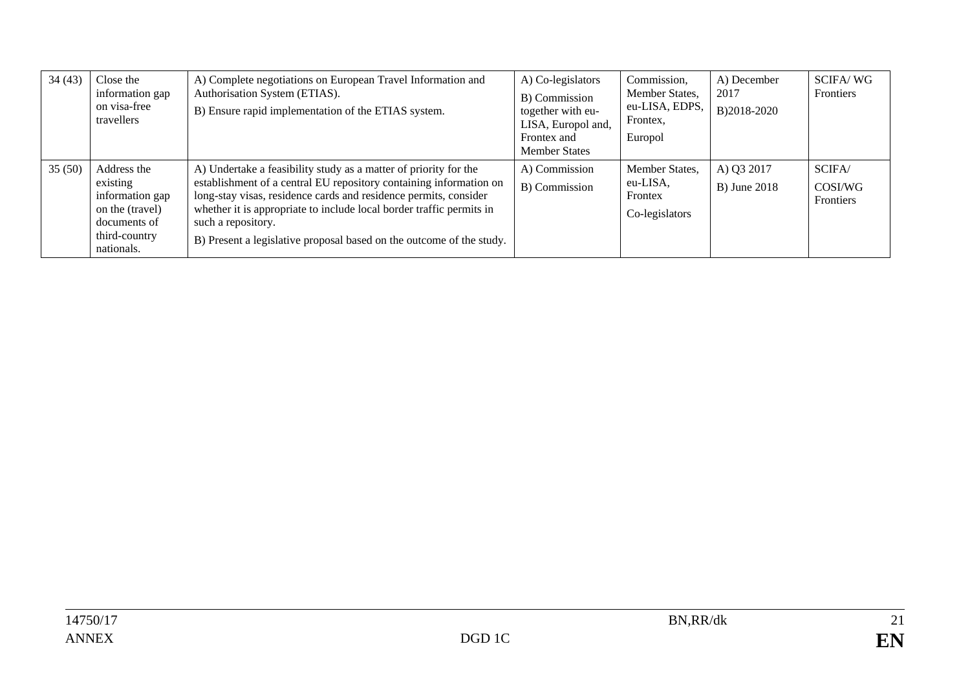| 34(43) | Close the<br>information gap<br>on visa-free<br>travellers                                                   | A) Complete negotiations on European Travel Information and<br>Authorisation System (ETIAS).<br>B) Ensure rapid implementation of the ETIAS system.                                                                                                                                                                                                                              | A) Co-legislators<br>B) Commission<br>together with eu-<br>LISA, Europol and,<br>Frontex and<br><b>Member States</b> | Commission,<br>Member States,<br>eu-LISA, EDPS,<br>Frontex,<br>Europol | A) December<br>2017<br>B)2018-2020 | <b>SCIFA/WG</b><br>Frontiers   |
|--------|--------------------------------------------------------------------------------------------------------------|----------------------------------------------------------------------------------------------------------------------------------------------------------------------------------------------------------------------------------------------------------------------------------------------------------------------------------------------------------------------------------|----------------------------------------------------------------------------------------------------------------------|------------------------------------------------------------------------|------------------------------------|--------------------------------|
| 35(50) | Address the<br>existing<br>information gap<br>on the (travel)<br>documents of<br>third-country<br>nationals. | A) Undertake a feasibility study as a matter of priority for the<br>establishment of a central EU repository containing information on<br>long-stay visas, residence cards and residence permits, consider<br>whether it is appropriate to include local border traffic permits in<br>such a repository.<br>B) Present a legislative proposal based on the outcome of the study. | A) Commission<br>B) Commission                                                                                       | Member States.<br>eu-LISA,<br>Frontex<br>Co-legislators                | A) Q3 2017<br><b>B</b> ) June 2018 | SCIFA/<br>COSI/WG<br>Frontiers |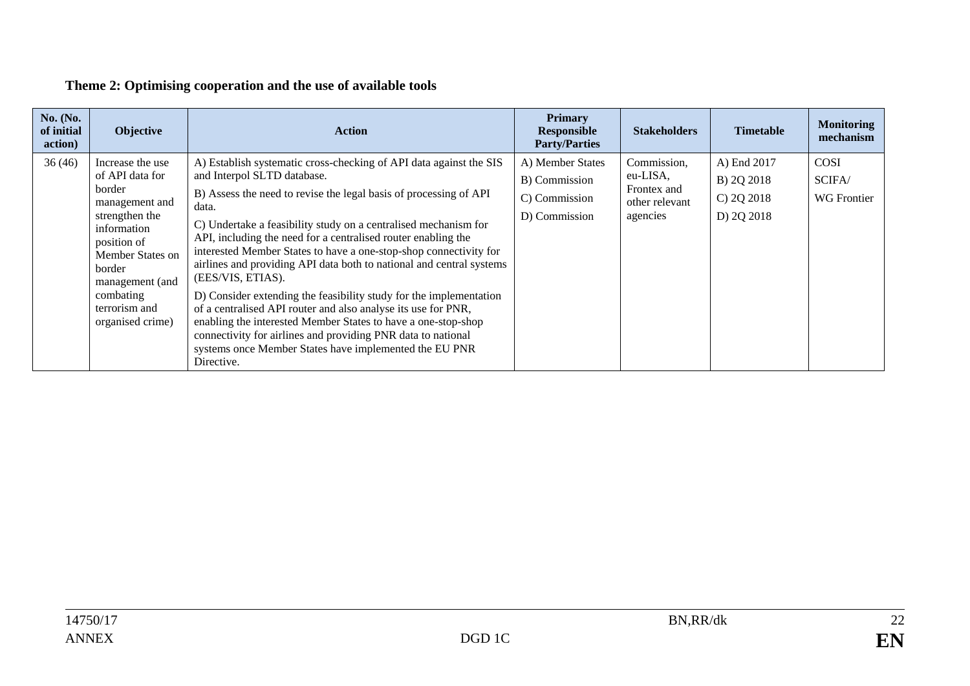## **Theme 2: Optimising cooperation and the use of available tools**

| No. (No.<br>of initial<br>action) | Objective                                                                                                                                                                                                          | <b>Action</b>                                                                                                                                                                                                                                                                                                                                                                                                                                                                                                                                                                                                                                                                                                                                                                                                                         | <b>Primary</b><br><b>Responsible</b><br><b>Party/Parties</b>        | <b>Stakeholders</b>                                                  | <b>Timetable</b>                                         | <b>Monitoring</b><br>mechanism              |
|-----------------------------------|--------------------------------------------------------------------------------------------------------------------------------------------------------------------------------------------------------------------|---------------------------------------------------------------------------------------------------------------------------------------------------------------------------------------------------------------------------------------------------------------------------------------------------------------------------------------------------------------------------------------------------------------------------------------------------------------------------------------------------------------------------------------------------------------------------------------------------------------------------------------------------------------------------------------------------------------------------------------------------------------------------------------------------------------------------------------|---------------------------------------------------------------------|----------------------------------------------------------------------|----------------------------------------------------------|---------------------------------------------|
| 36(46)                            | Increase the use<br>of API data for<br>border<br>management and<br>strengthen the<br>information<br>position of<br>Member States on<br>border<br>management (and<br>combating<br>terrorism and<br>organised crime) | A) Establish systematic cross-checking of API data against the SIS<br>and Interpol SLTD database.<br>B) Assess the need to revise the legal basis of processing of API<br>data.<br>C) Undertake a feasibility study on a centralised mechanism for<br>API, including the need for a centralised router enabling the<br>interested Member States to have a one-stop-shop connectivity for<br>airlines and providing API data both to national and central systems<br>(EES/VIS, ETIAS).<br>D) Consider extending the feasibility study for the implementation<br>of a centralised API router and also analyse its use for PNR,<br>enabling the interested Member States to have a one-stop-shop<br>connectivity for airlines and providing PNR data to national<br>systems once Member States have implemented the EU PNR<br>Directive. | A) Member States<br>B) Commission<br>C) Commission<br>D) Commission | Commission,<br>eu-LISA,<br>Frontex and<br>other relevant<br>agencies | A) End 2017<br>B) 2Q 2018<br>$C$ ) 2Q 2018<br>D) 2Q 2018 | <b>COSI</b><br>SCIFA/<br><b>WG</b> Frontier |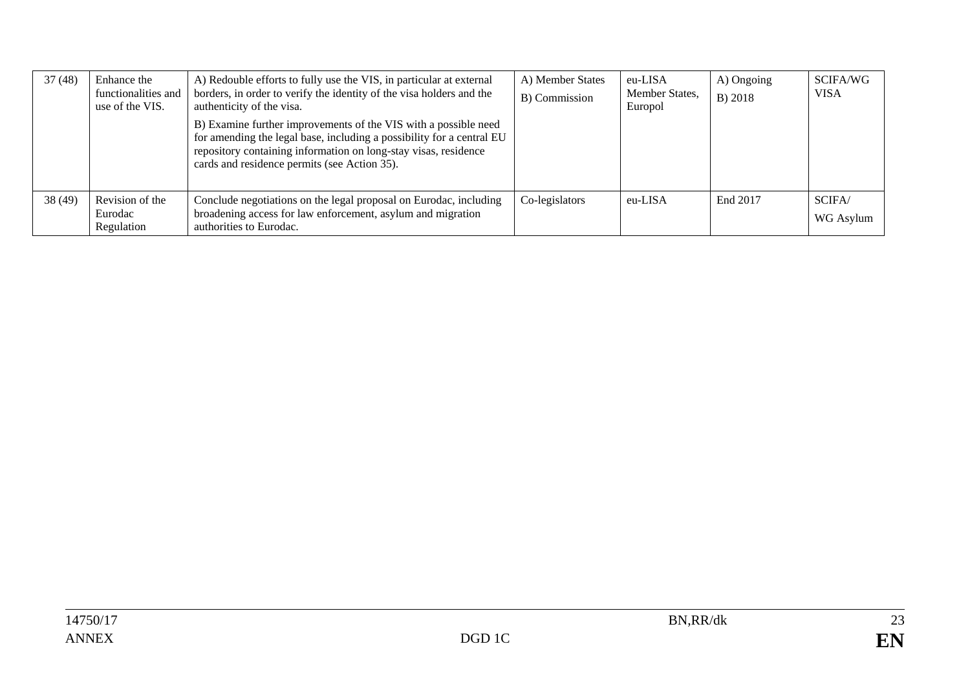| 37(48) | Enhance the<br>functionalities and<br>use of the VIS. | A) Redouble efforts to fully use the VIS, in particular at external<br>borders, in order to verify the identity of the visa holders and the<br>authenticity of the visa.<br>B) Examine further improvements of the VIS with a possible need<br>for amending the legal base, including a possibility for a central EU<br>repository containing information on long-stay visas, residence<br>cards and residence permits (see Action 35). | A) Member States<br>B) Commission | eu-LISA<br>Member States,<br>Europol | A) Ongoing<br><b>B</b> ) 2018 | SCIFA/WG<br><b>VISA</b> |
|--------|-------------------------------------------------------|-----------------------------------------------------------------------------------------------------------------------------------------------------------------------------------------------------------------------------------------------------------------------------------------------------------------------------------------------------------------------------------------------------------------------------------------|-----------------------------------|--------------------------------------|-------------------------------|-------------------------|
| 38(49) | Revision of the<br>Eurodac<br>Regulation              | Conclude negotiations on the legal proposal on Eurodac, including<br>broadening access for law enforcement, asylum and migration<br>authorities to Eurodac.                                                                                                                                                                                                                                                                             | Co-legislators                    | eu-LISA                              | End 2017                      | SCIFA/<br>WG Asylum     |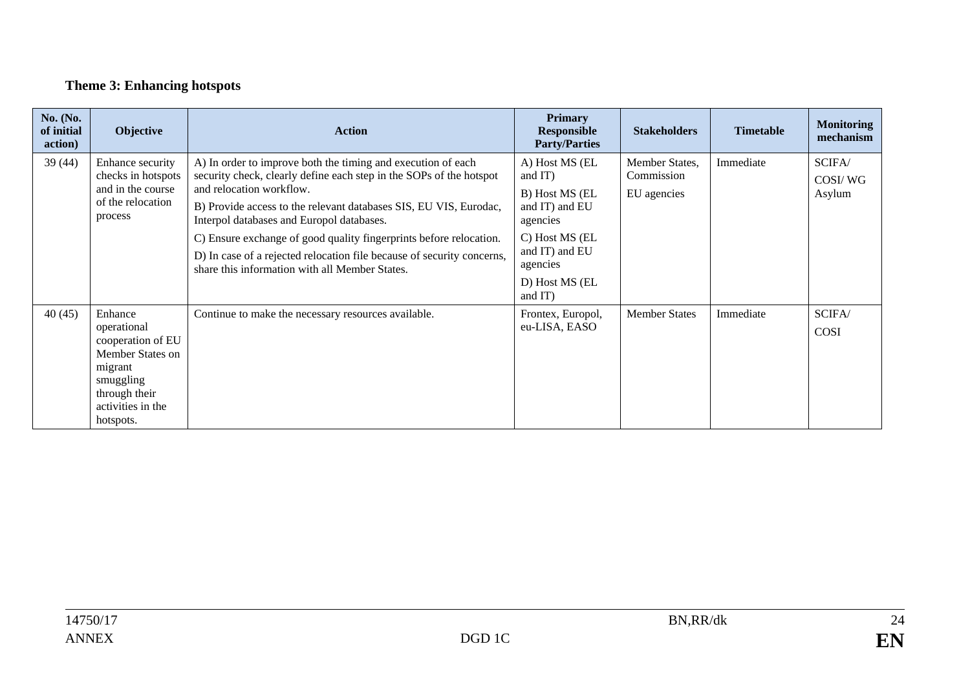## **Theme 3: Enhancing hotspots**

| <b>No.</b> (No.<br>of initial<br>action) | <b>Objective</b>                                                                                                                           | <b>Action</b>                                                                                                                                                                                                                                                                                                                                                                                                                                                                       | <b>Primary</b><br><b>Responsible</b><br><b>Party/Parties</b>                                                                                           | <b>Stakeholders</b>                         | <b>Timetable</b> | <b>Monitoring</b><br>mechanism |
|------------------------------------------|--------------------------------------------------------------------------------------------------------------------------------------------|-------------------------------------------------------------------------------------------------------------------------------------------------------------------------------------------------------------------------------------------------------------------------------------------------------------------------------------------------------------------------------------------------------------------------------------------------------------------------------------|--------------------------------------------------------------------------------------------------------------------------------------------------------|---------------------------------------------|------------------|--------------------------------|
| 39(44)                                   | Enhance security<br>checks in hotspots<br>and in the course<br>of the relocation<br>process                                                | A) In order to improve both the timing and execution of each<br>security check, clearly define each step in the SOPs of the hotspot<br>and relocation workflow.<br>B) Provide access to the relevant databases SIS, EU VIS, Eurodac,<br>Interpol databases and Europol databases.<br>C) Ensure exchange of good quality fingerprints before relocation.<br>D) In case of a rejected relocation file because of security concerns,<br>share this information with all Member States. | A) Host MS (EL<br>and IT)<br>B) Host MS (EL<br>and IT) and EU<br>agencies<br>C) Host MS (EL<br>and IT) and EU<br>agencies<br>D) Host MS (EL<br>and IT) | Member States,<br>Commission<br>EU agencies | Immediate        | SCIFA/<br>COSI/WG<br>Asylum    |
| 40(45)                                   | Enhance<br>operational<br>cooperation of EU<br>Member States on<br>migrant<br>smuggling<br>through their<br>activities in the<br>hotspots. | Continue to make the necessary resources available.                                                                                                                                                                                                                                                                                                                                                                                                                                 | Frontex, Europol,<br>eu-LISA, EASO                                                                                                                     | <b>Member States</b>                        | Immediate        | SCIFA/<br>COSI                 |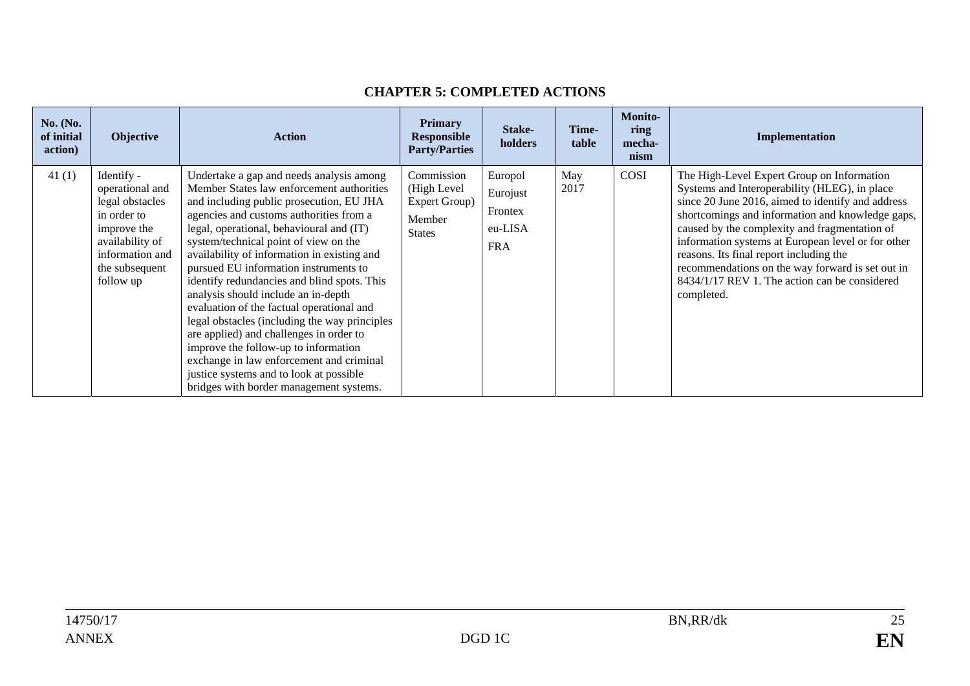| <b>No.</b> (No.<br>of initial<br>action) | <b>Objective</b>                                                                                                                                    | <b>Action</b>                                                                                                                                                                                                                                                                                                                                                                                                                                                                                                                                                                                                                                                                                                                                                      | <b>Primary</b><br><b>Responsible</b><br><b>Party/Parties</b>          | Stake-<br>holders                                       | Time-<br>table | <b>Monito-</b><br>ring<br>mecha-<br>nism | Implementation                                                                                                                                                                                                                                                                                                                                                                                                                                                            |
|------------------------------------------|-----------------------------------------------------------------------------------------------------------------------------------------------------|--------------------------------------------------------------------------------------------------------------------------------------------------------------------------------------------------------------------------------------------------------------------------------------------------------------------------------------------------------------------------------------------------------------------------------------------------------------------------------------------------------------------------------------------------------------------------------------------------------------------------------------------------------------------------------------------------------------------------------------------------------------------|-----------------------------------------------------------------------|---------------------------------------------------------|----------------|------------------------------------------|---------------------------------------------------------------------------------------------------------------------------------------------------------------------------------------------------------------------------------------------------------------------------------------------------------------------------------------------------------------------------------------------------------------------------------------------------------------------------|
| 41(1)                                    | Identify -<br>operational and<br>legal obstacles<br>in order to<br>improve the<br>availability of<br>information and<br>the subsequent<br>follow up | Undertake a gap and needs analysis among<br>Member States law enforcement authorities<br>and including public prosecution, EU JHA<br>agencies and customs authorities from a<br>legal, operational, behavioural and (IT)<br>system/technical point of view on the<br>availability of information in existing and<br>pursued EU information instruments to<br>identify redundancies and blind spots. This<br>analysis should include an in-depth<br>evaluation of the factual operational and<br>legal obstacles (including the way principles<br>are applied) and challenges in order to<br>improve the follow-up to information<br>exchange in law enforcement and criminal<br>justice systems and to look at possible<br>bridges with border management systems. | Commission<br>(High Level<br>Expert Group)<br>Member<br><b>States</b> | Europol<br>Eurojust<br>Frontex<br>eu-LISA<br><b>FRA</b> | May<br>2017    | COSI                                     | The High-Level Expert Group on Information<br>Systems and Interoperability (HLEG), in place<br>since 20 June 2016, aimed to identify and address<br>shortcomings and information and knowledge gaps,<br>caused by the complexity and fragmentation of<br>information systems at European level or for other<br>reasons. Its final report including the<br>recommendations on the way forward is set out in<br>8434/1/17 REV 1. The action can be considered<br>completed. |

#### **CHAPTER 5: COMPLETED ACTIONS**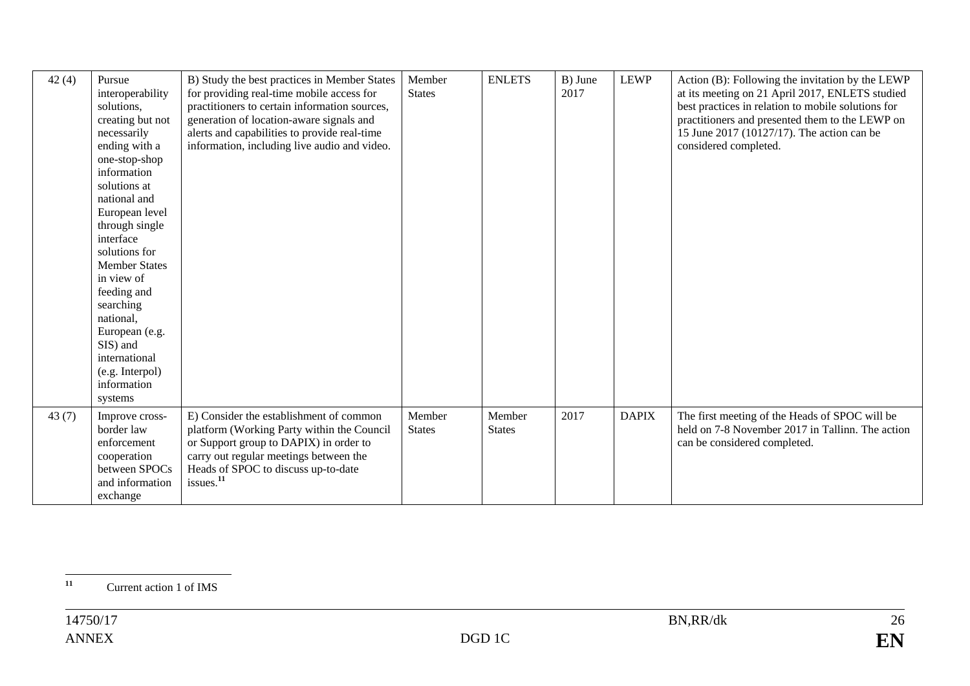| 42(4) | Pursue<br>interoperability<br>solutions,<br>creating but not<br>necessarily<br>ending with a<br>one-stop-shop<br>information<br>solutions at<br>national and<br>European level<br>through single<br>interface<br>solutions for<br><b>Member States</b><br>in view of<br>feeding and<br>searching<br>national,<br>European (e.g.<br>SIS) and<br>international<br>(e.g. Interpol)<br>information<br>systems | B) Study the best practices in Member States<br>for providing real-time mobile access for<br>practitioners to certain information sources,<br>generation of location-aware signals and<br>alerts and capabilities to provide real-time<br>information, including live audio and video. | Member<br><b>States</b> | <b>ENLETS</b>           | B) June<br>2017 | <b>LEWP</b>  | Action (B): Following the invitation by the LEWP<br>at its meeting on 21 April 2017, ENLETS studied<br>best practices in relation to mobile solutions for<br>practitioners and presented them to the LEWP on<br>15 June 2017 (10127/17). The action can be<br>considered completed. |
|-------|-----------------------------------------------------------------------------------------------------------------------------------------------------------------------------------------------------------------------------------------------------------------------------------------------------------------------------------------------------------------------------------------------------------|----------------------------------------------------------------------------------------------------------------------------------------------------------------------------------------------------------------------------------------------------------------------------------------|-------------------------|-------------------------|-----------------|--------------|-------------------------------------------------------------------------------------------------------------------------------------------------------------------------------------------------------------------------------------------------------------------------------------|
| 43(7) | Improve cross-<br>border law<br>enforcement<br>cooperation<br>between SPOCs<br>and information<br>exchange                                                                                                                                                                                                                                                                                                | E) Consider the establishment of common<br>platform (Working Party within the Council<br>or Support group to DAPIX) in order to<br>carry out regular meetings between the<br>Heads of SPOC to discuss up-to-date<br>issues. $^{11}$                                                    | Member<br><b>States</b> | Member<br><b>States</b> | 2017            | <b>DAPIX</b> | The first meeting of the Heads of SPOC will be<br>held on 7-8 November 2017 in Tallinn. The action<br>can be considered completed.                                                                                                                                                  |

<sup>&</sup>lt;sup>11</sup> Current action 1 of IMS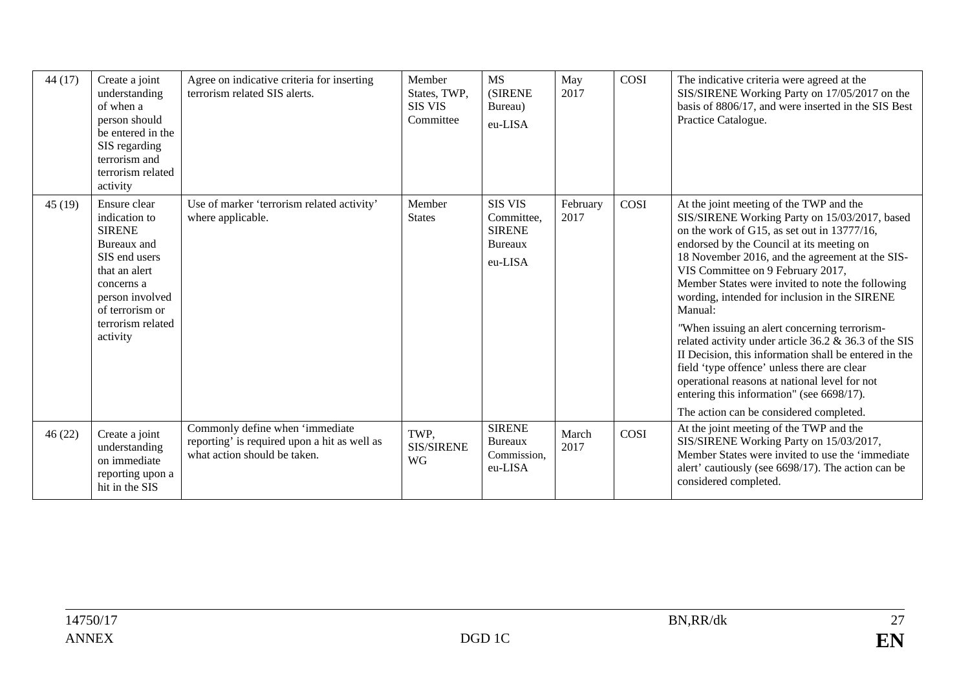| 44(17) | Create a joint<br>understanding<br>of when a<br>person should<br>be entered in the<br>SIS regarding<br>terrorism and<br>terrorism related<br>activity                                | Agree on indicative criteria for inserting<br>terrorism related SIS alerts.                                     | Member<br>States, TWP,<br><b>SIS VIS</b><br>Committee | MS<br><b>(SIRENE</b><br>Bureau)<br>eu-LISA                          | May<br>2017      | COSI | The indicative criteria were agreed at the<br>SIS/SIRENE Working Party on 17/05/2017 on the<br>basis of 8806/17, and were inserted in the SIS Best<br>Practice Catalogue.                                                                                                                                                                                                                                                                                                                                                                                                                                                                                                                                                                              |
|--------|--------------------------------------------------------------------------------------------------------------------------------------------------------------------------------------|-----------------------------------------------------------------------------------------------------------------|-------------------------------------------------------|---------------------------------------------------------------------|------------------|------|--------------------------------------------------------------------------------------------------------------------------------------------------------------------------------------------------------------------------------------------------------------------------------------------------------------------------------------------------------------------------------------------------------------------------------------------------------------------------------------------------------------------------------------------------------------------------------------------------------------------------------------------------------------------------------------------------------------------------------------------------------|
| 45(19) | Ensure clear<br>indication to<br><b>SIRENE</b><br>Bureaux and<br>SIS end users<br>that an alert<br>concerns a<br>person involved<br>of terrorism or<br>terrorism related<br>activity | Use of marker 'terrorism related activity'<br>where applicable.                                                 | Member<br><b>States</b>                               | <b>SIS VIS</b><br>Committee,<br><b>SIRENE</b><br>Bureaux<br>eu-LISA | February<br>2017 | COSI | At the joint meeting of the TWP and the<br>SIS/SIRENE Working Party on 15/03/2017, based<br>on the work of G15, as set out in 13777/16,<br>endorsed by the Council at its meeting on<br>18 November 2016, and the agreement at the SIS-<br>VIS Committee on 9 February 2017,<br>Member States were invited to note the following<br>wording, intended for inclusion in the SIRENE<br>Manual:<br>"When issuing an alert concerning terrorism-<br>related activity under article 36.2 & 36.3 of the SIS<br>II Decision, this information shall be entered in the<br>field 'type offence' unless there are clear<br>operational reasons at national level for not<br>entering this information" (see 6698/17).<br>The action can be considered completed. |
| 46(22) | Create a joint<br>understanding<br>on immediate<br>reporting upon a<br>hit in the SIS                                                                                                | Commonly define when 'immediate<br>reporting' is required upon a hit as well as<br>what action should be taken. | TWP.<br><b>SIS/SIRENE</b><br>WG                       | <b>SIRENE</b><br>Bureaux<br>Commission,<br>eu-LISA                  | March<br>2017    | COSI | At the joint meeting of the TWP and the<br>SIS/SIRENE Working Party on 15/03/2017,<br>Member States were invited to use the 'immediate<br>alert' cautiously (see 6698/17). The action can be<br>considered completed.                                                                                                                                                                                                                                                                                                                                                                                                                                                                                                                                  |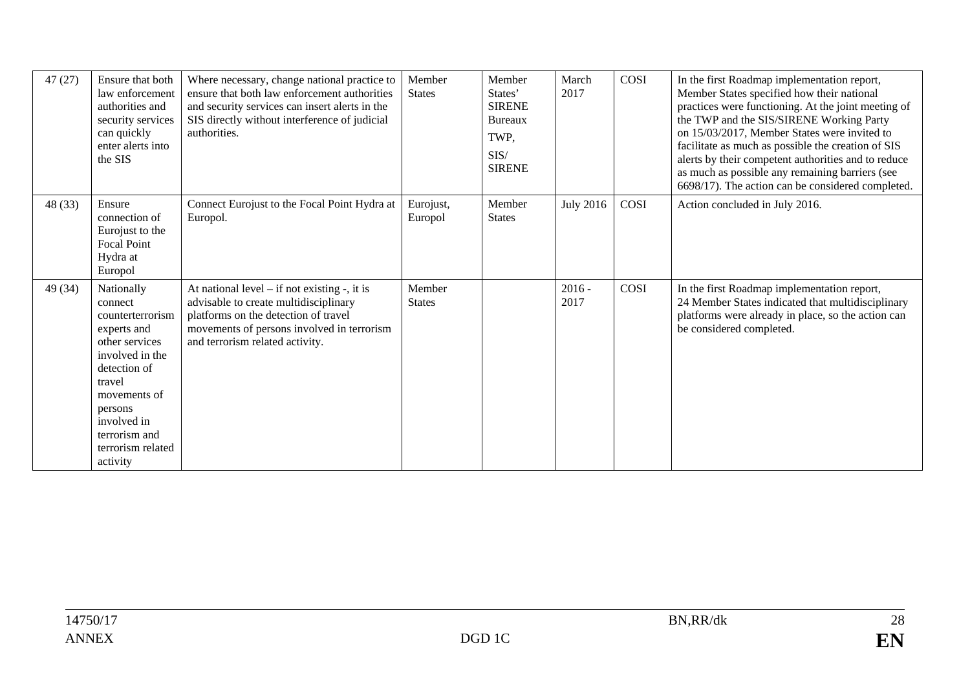| 47(27)  | Ensure that both<br>law enforcement<br>authorities and<br>security services<br>can quickly<br>enter alerts into<br>the SIS                                                                                          | Where necessary, change national practice to<br>ensure that both law enforcement authorities<br>and security services can insert alerts in the<br>SIS directly without interference of judicial<br>authorities.     | Member<br><b>States</b> | Member<br>States'<br><b>SIRENE</b><br><b>Bureaux</b><br>TWP,<br>SIS/<br><b>SIRENE</b> | March<br>2017    | COSI | In the first Roadmap implementation report,<br>Member States specified how their national<br>practices were functioning. At the joint meeting of<br>the TWP and the SIS/SIRENE Working Party<br>on 15/03/2017, Member States were invited to<br>facilitate as much as possible the creation of SIS<br>alerts by their competent authorities and to reduce<br>as much as possible any remaining barriers (see<br>6698/17). The action can be considered completed. |
|---------|---------------------------------------------------------------------------------------------------------------------------------------------------------------------------------------------------------------------|---------------------------------------------------------------------------------------------------------------------------------------------------------------------------------------------------------------------|-------------------------|---------------------------------------------------------------------------------------|------------------|------|-------------------------------------------------------------------------------------------------------------------------------------------------------------------------------------------------------------------------------------------------------------------------------------------------------------------------------------------------------------------------------------------------------------------------------------------------------------------|
| 48 (33) | Ensure<br>connection of<br>Eurojust to the<br><b>Focal Point</b><br>Hydra at<br>Europol                                                                                                                             | Connect Eurojust to the Focal Point Hydra at<br>Europol.                                                                                                                                                            | Eurojust,<br>Europol    | Member<br><b>States</b>                                                               | <b>July 2016</b> | COSI | Action concluded in July 2016.                                                                                                                                                                                                                                                                                                                                                                                                                                    |
| 49 (34) | Nationally<br>connect<br>counterterrorism<br>experts and<br>other services<br>involved in the<br>detection of<br>travel<br>movements of<br>persons<br>involved in<br>terrorism and<br>terrorism related<br>activity | At national level $-$ if not existing $-$ , it is<br>advisable to create multidisciplinary<br>platforms on the detection of travel<br>movements of persons involved in terrorism<br>and terrorism related activity. | Member<br><b>States</b> |                                                                                       | $2016 -$<br>2017 | COSI | In the first Roadmap implementation report,<br>24 Member States indicated that multidisciplinary<br>platforms were already in place, so the action can<br>be considered completed.                                                                                                                                                                                                                                                                                |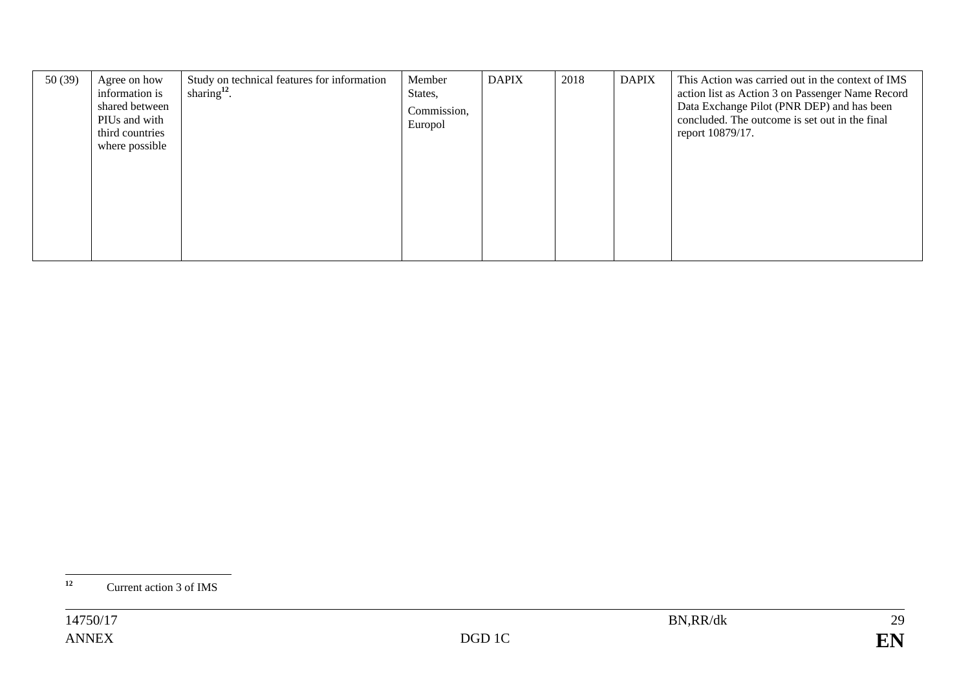| 50(39) | Agree on how<br>information is<br>shared between<br>PIUs and with<br>third countries<br>where possible | Study on technical features for information<br>sharing $12$ . | Member<br>States,<br>Commission,<br>Europol | <b>DAPIX</b> | 2018 | <b>DAPIX</b> | This Action was carried out in the context of IMS<br>action list as Action 3 on Passenger Name Record<br>Data Exchange Pilot (PNR DEP) and has been<br>concluded. The outcome is set out in the final<br>report 10879/17. |
|--------|--------------------------------------------------------------------------------------------------------|---------------------------------------------------------------|---------------------------------------------|--------------|------|--------------|---------------------------------------------------------------------------------------------------------------------------------------------------------------------------------------------------------------------------|
|        |                                                                                                        |                                                               |                                             |              |      |              |                                                                                                                                                                                                                           |

<sup>&</sup>lt;sup>12</sup> Current action 3 of IMS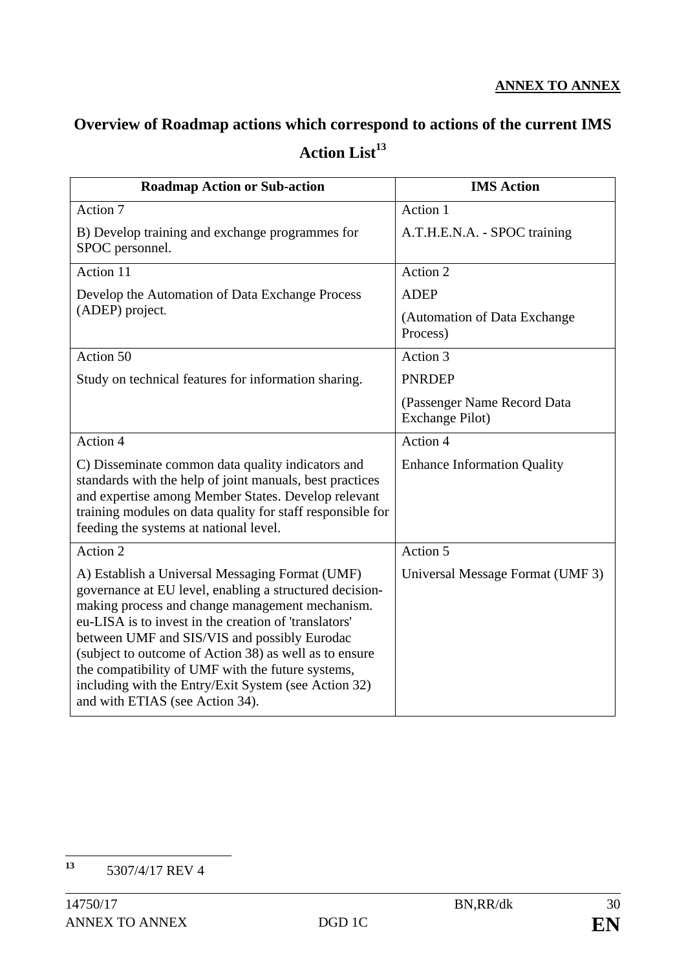# **Overview of Roadmap actions which correspond to actions of the current IMS**  Action List<sup>13</sup>

| <b>Roadmap Action or Sub-action</b>                                                                                                                                                                                                                                                                                                                                                                                                                                              | <b>IMS</b> Action                              |
|----------------------------------------------------------------------------------------------------------------------------------------------------------------------------------------------------------------------------------------------------------------------------------------------------------------------------------------------------------------------------------------------------------------------------------------------------------------------------------|------------------------------------------------|
| Action 7                                                                                                                                                                                                                                                                                                                                                                                                                                                                         | Action 1                                       |
| B) Develop training and exchange programmes for<br>SPOC personnel.                                                                                                                                                                                                                                                                                                                                                                                                               | A.T.H.E.N.A. - SPOC training                   |
| Action 11                                                                                                                                                                                                                                                                                                                                                                                                                                                                        | Action 2                                       |
| Develop the Automation of Data Exchange Process                                                                                                                                                                                                                                                                                                                                                                                                                                  | <b>ADEP</b>                                    |
| (ADEP) project.                                                                                                                                                                                                                                                                                                                                                                                                                                                                  | (Automation of Data Exchange<br>Process)       |
| Action 50                                                                                                                                                                                                                                                                                                                                                                                                                                                                        | Action 3                                       |
| Study on technical features for information sharing.                                                                                                                                                                                                                                                                                                                                                                                                                             | <b>PNRDEP</b>                                  |
|                                                                                                                                                                                                                                                                                                                                                                                                                                                                                  | (Passenger Name Record Data<br>Exchange Pilot) |
| Action 4                                                                                                                                                                                                                                                                                                                                                                                                                                                                         | Action 4                                       |
| C) Disseminate common data quality indicators and<br>standards with the help of joint manuals, best practices<br>and expertise among Member States. Develop relevant<br>training modules on data quality for staff responsible for<br>feeding the systems at national level.                                                                                                                                                                                                     | <b>Enhance Information Quality</b>             |
| Action 2                                                                                                                                                                                                                                                                                                                                                                                                                                                                         | Action 5                                       |
| A) Establish a Universal Messaging Format (UMF)<br>governance at EU level, enabling a structured decision-<br>making process and change management mechanism.<br>eu-LISA is to invest in the creation of 'translators'<br>between UMF and SIS/VIS and possibly Eurodac<br>(subject to outcome of Action 38) as well as to ensure<br>the compatibility of UMF with the future systems,<br>including with the Entry/Exit System (see Action 32)<br>and with ETIAS (see Action 34). | Universal Message Format (UMF 3)               |

 $13$ **<sup>13</sup>** 5307/4/17 REV 4